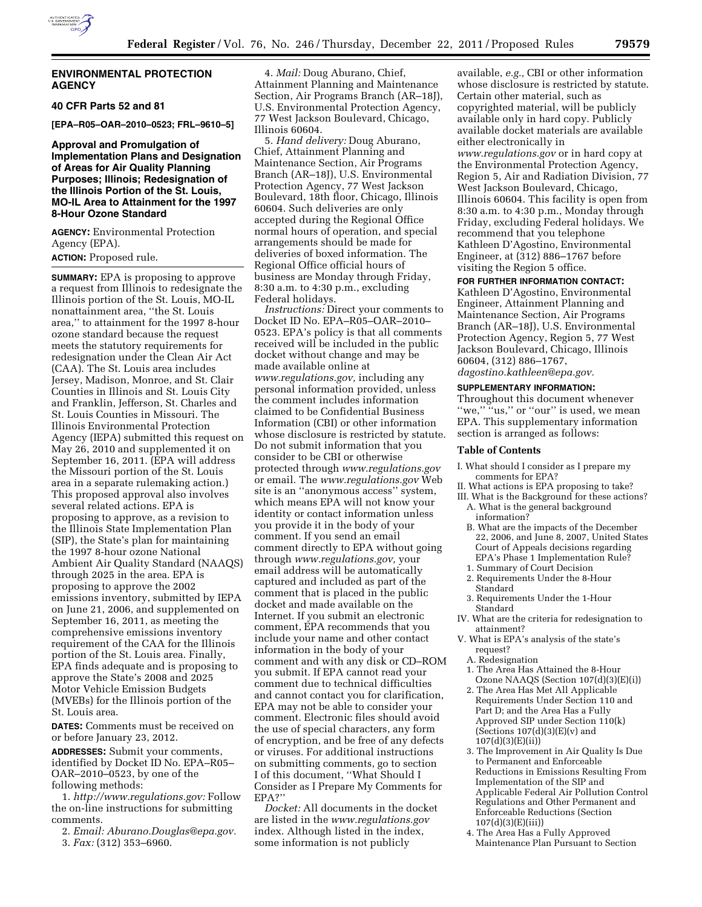

# **ENVIRONMENTAL PROTECTION AGENCY**

#### **40 CFR Parts 52 and 81**

**[EPA–R05–OAR–2010–0523; FRL–9610–5]** 

# **Approval and Promulgation of Implementation Plans and Designation of Areas for Air Quality Planning Purposes; Illinois; Redesignation of the Illinois Portion of the St. Louis, MO-IL Area to Attainment for the 1997 8-Hour Ozone Standard**

**AGENCY:** Environmental Protection Agency (EPA).

#### **ACTION:** Proposed rule.

**SUMMARY:** EPA is proposing to approve a request from Illinois to redesignate the Illinois portion of the St. Louis, MO-IL nonattainment area, ''the St. Louis area,'' to attainment for the 1997 8-hour ozone standard because the request meets the statutory requirements for redesignation under the Clean Air Act (CAA). The St. Louis area includes Jersey, Madison, Monroe, and St. Clair Counties in Illinois and St. Louis City and Franklin, Jefferson, St. Charles and St. Louis Counties in Missouri. The Illinois Environmental Protection Agency (IEPA) submitted this request on May 26, 2010 and supplemented it on September 16, 2011. (EPA will address the Missouri portion of the St. Louis area in a separate rulemaking action.) This proposed approval also involves several related actions. EPA is proposing to approve, as a revision to the Illinois State Implementation Plan (SIP), the State's plan for maintaining the 1997 8-hour ozone National Ambient Air Quality Standard (NAAQS) through 2025 in the area. EPA is proposing to approve the 2002 emissions inventory, submitted by IEPA on June 21, 2006, and supplemented on September 16, 2011, as meeting the comprehensive emissions inventory requirement of the CAA for the Illinois portion of the St. Louis area. Finally, EPA finds adequate and is proposing to approve the State's 2008 and 2025 Motor Vehicle Emission Budgets (MVEBs) for the Illinois portion of the St. Louis area.

**DATES:** Comments must be received on or before January 23, 2012.

**ADDRESSES:** Submit your comments, identified by Docket ID No. EPA–R05– OAR–2010–0523, by one of the following methods:

1. *[http://www.regulations.gov:](http://www.regulations.gov)* Follow the on-line instructions for submitting comments.

2. *Email: [Aburano.Douglas@epa.gov.](mailto:Aburano.Douglas@epa.gov)* 

3. *Fax:* (312) 353–6960.

4. *Mail:* Doug Aburano, Chief, Attainment Planning and Maintenance Section, Air Programs Branch (AR–18J), U.S. Environmental Protection Agency, 77 West Jackson Boulevard, Chicago, Illinois 60604.

5. *Hand delivery:* Doug Aburano, Chief, Attainment Planning and Maintenance Section, Air Programs Branch (AR–18J), U.S. Environmental Protection Agency, 77 West Jackson Boulevard, 18th floor, Chicago, Illinois 60604. Such deliveries are only accepted during the Regional Office normal hours of operation, and special arrangements should be made for deliveries of boxed information. The Regional Office official hours of business are Monday through Friday, 8:30 a.m. to 4:30 p.m., excluding Federal holidays.

*Instructions:* Direct your comments to Docket ID No. EPA–R05–OAR–2010– 0523. EPA's policy is that all comments received will be included in the public docket without change and may be made available online at *[www.regulations.gov,](http://www.regulations.gov)* including any personal information provided, unless the comment includes information claimed to be Confidential Business Information (CBI) or other information whose disclosure is restricted by statute. Do not submit information that you consider to be CBI or otherwise protected through *[www.regulations.gov](http://www.regulations.gov)*  or email. The *[www.regulations.gov](http://www.regulations.gov)* Web site is an ''anonymous access'' system, which means EPA will not know your identity or contact information unless you provide it in the body of your comment. If you send an email comment directly to EPA without going through *[www.regulations.gov,](http://www.regulations.gov)* your email address will be automatically captured and included as part of the comment that is placed in the public docket and made available on the Internet. If you submit an electronic comment, EPA recommends that you include your name and other contact information in the body of your comment and with any disk or CD–ROM you submit. If EPA cannot read your comment due to technical difficulties and cannot contact you for clarification, EPA may not be able to consider your comment. Electronic files should avoid the use of special characters, any form of encryption, and be free of any defects or viruses. For additional instructions on submitting comments, go to section I of this document, ''What Should I Consider as I Prepare My Comments for EPA?''

*Docket:* All documents in the docket are listed in the *[www.regulations.gov](http://www.regulations.gov)*  index. Although listed in the index, some information is not publicly

available, *e.g.,* CBI or other information whose disclosure is restricted by statute. Certain other material, such as copyrighted material, will be publicly available only in hard copy. Publicly available docket materials are available either electronically in *[www.regulations.gov](http://www.regulations.gov)* or in hard copy at the Environmental Protection Agency, Region 5, Air and Radiation Division, 77 West Jackson Boulevard, Chicago, Illinois 60604. This facility is open from 8:30 a.m. to 4:30 p.m., Monday through Friday, excluding Federal holidays. We recommend that you telephone Kathleen D'Agostino, Environmental Engineer, at (312) 886–1767 before visiting the Region 5 office.

**FOR FURTHER INFORMATION CONTACT:**  Kathleen D'Agostino, Environmental Engineer, Attainment Planning and Maintenance Section, Air Programs Branch (AR–18J), U.S. Environmental Protection Agency, Region 5, 77 West Jackson Boulevard, Chicago, Illinois 60604, (312) 886–1767, *[dagostino.kathleen@epa.gov.](mailto:dagostino.kathleen@epa.gov)* 

#### **SUPPLEMENTARY INFORMATION:**

Throughout this document whenever "we," "us," or "our" is used, we mean EPA. This supplementary information section is arranged as follows:

#### **Table of Contents**

- I. What should I consider as I prepare my comments for EPA?
- II. What actions is EPA proposing to take? III. What is the Background for these actions?
- A. What is the general background information?
- B. What are the impacts of the December 22, 2006, and June 8, 2007, United States Court of Appeals decisions regarding EPA's Phase 1 Implementation Rule?
- 1. Summary of Court Decision
- 2. Requirements Under the 8-Hour Standard
- 3. Requirements Under the 1-Hour Standard
- IV. What are the criteria for redesignation to attainment?
- V. What is EPA's analysis of the state's request?
	- A. Redesignation
	- 1. The Area Has Attained the 8-Hour Ozone NAAQS (Section 107(d)(3)(E)(i))
	- 2. The Area Has Met All Applicable Requirements Under Section 110 and Part D; and the Area Has a Fully Approved SIP under Section 110(k) (Sections  $107(d)(3)(E)(v)$  and 107(d)(3)(E)(ii))
	- 3. The Improvement in Air Quality Is Due to Permanent and Enforceable Reductions in Emissions Resulting From Implementation of the SIP and Applicable Federal Air Pollution Control Regulations and Other Permanent and Enforceable Reductions (Section 107(d)(3)(E)(iii))
	- 4. The Area Has a Fully Approved Maintenance Plan Pursuant to Section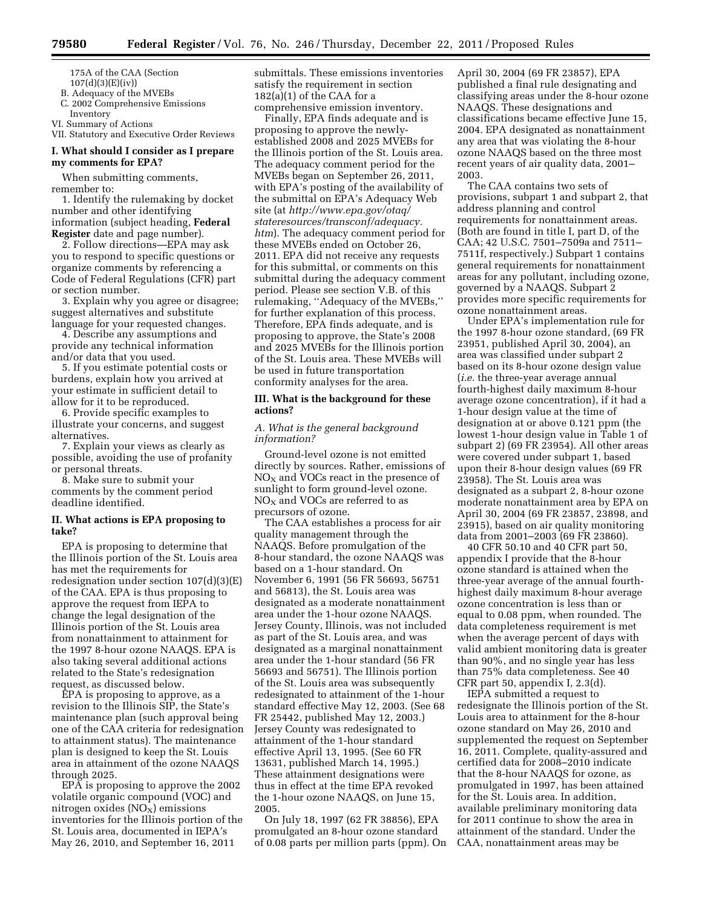175A of the CAA (Section 107(d)(3)(E)(iv))

B. Adequacy of the MVEBs

C. 2002 Comprehensive Emissions Inventory

VI. Summary of Actions

VII. Statutory and Executive Order Reviews

# **I. What should I consider as I prepare my comments for EPA?**

When submitting comments, remember to:

1. Identify the rulemaking by docket number and other identifying information (subject heading, **Federal Register** date and page number).

2. Follow directions—EPA may ask you to respond to specific questions or organize comments by referencing a Code of Federal Regulations (CFR) part or section number.

3. Explain why you agree or disagree; suggest alternatives and substitute language for your requested changes.

4. Describe any assumptions and provide any technical information and/or data that you used.

5. If you estimate potential costs or burdens, explain how you arrived at your estimate in sufficient detail to allow for it to be reproduced.

6. Provide specific examples to illustrate your concerns, and suggest alternatives.

7. Explain your views as clearly as possible, avoiding the use of profanity or personal threats.

8. Make sure to submit your comments by the comment period deadline identified.

# **II. What actions is EPA proposing to take?**

EPA is proposing to determine that the Illinois portion of the St. Louis area has met the requirements for redesignation under section 107(d)(3)(E) of the CAA. EPA is thus proposing to approve the request from IEPA to change the legal designation of the Illinois portion of the St. Louis area from nonattainment to attainment for the 1997 8-hour ozone NAAQS. EPA is also taking several additional actions related to the State's redesignation request, as discussed below.

EPA is proposing to approve, as a revision to the Illinois SIP, the State's maintenance plan (such approval being one of the CAA criteria for redesignation to attainment status). The maintenance plan is designed to keep the St. Louis area in attainment of the ozone NAAQS through 2025.

EPA is proposing to approve the 2002 volatile organic compound (VOC) and nitrogen oxides  $(NO<sub>X</sub>)$  emissions inventories for the Illinois portion of the St. Louis area, documented in IEPA's May 26, 2010, and September 16, 2011

submittals. These emissions inventories satisfy the requirement in section  $182(a)(1)$  of the CAA for a comprehensive emission inventory.

Finally, EPA finds adequate and is proposing to approve the newlyestablished 2008 and 2025 MVEBs for the Illinois portion of the St. Louis area. The adequacy comment period for the MVEBs began on September 26, 2011, with EPA's posting of the availability of the submittal on EPA's Adequacy Web site (at *[http://www.epa.gov/otaq/](http://www.epa.gov/otaq/stateresources/transconf/adequacy.htm) [stateresources/transconf/adequacy.](http://www.epa.gov/otaq/stateresources/transconf/adequacy.htm) [htm](http://www.epa.gov/otaq/stateresources/transconf/adequacy.htm)*). The adequacy comment period for these MVEBs ended on October 26, 2011. EPA did not receive any requests for this submittal, or comments on this submittal during the adequacy comment period. Please see section V.B. of this rulemaking, ''Adequacy of the MVEBs,'' for further explanation of this process. Therefore, EPA finds adequate, and is proposing to approve, the State's 2008 and 2025 MVEBs for the Illinois portion of the St. Louis area. These MVEBs will be used in future transportation conformity analyses for the area.

# **III. What is the background for these actions?**

# *A. What is the general background information?*

Ground-level ozone is not emitted directly by sources. Rather, emissions of  $NO<sub>x</sub>$  and VOCs react in the presence of sunlight to form ground-level ozone.  $NO<sub>X</sub>$  and VOCs are referred to as precursors of ozone.

The CAA establishes a process for air quality management through the NAAQS. Before promulgation of the 8-hour standard, the ozone NAAQS was based on a 1-hour standard. On November 6, 1991 (56 FR 56693, 56751 and 56813), the St. Louis area was designated as a moderate nonattainment area under the 1-hour ozone NAAQS. Jersey County, Illinois, was not included as part of the St. Louis area, and was designated as a marginal nonattainment area under the 1-hour standard (56 FR 56693 and 56751). The Illinois portion of the St. Louis area was subsequently redesignated to attainment of the 1-hour standard effective May 12, 2003. (See 68 FR 25442, published May 12, 2003.) Jersey County was redesignated to attainment of the 1-hour standard effective April 13, 1995. (See 60 FR 13631, published March 14, 1995.) These attainment designations were thus in effect at the time EPA revoked the 1-hour ozone NAAQS, on June 15, 2005.

On July 18, 1997 (62 FR 38856), EPA promulgated an 8-hour ozone standard of 0.08 parts per million parts (ppm). On April 30, 2004 (69 FR 23857), EPA published a final rule designating and classifying areas under the 8-hour ozone NAAQS. These designations and classifications became effective June 15, 2004. EPA designated as nonattainment any area that was violating the 8-hour ozone NAAQS based on the three most recent years of air quality data, 2001– 2003.

The CAA contains two sets of provisions, subpart 1 and subpart 2, that address planning and control requirements for nonattainment areas. (Both are found in title I, part D, of the CAA; 42 U.S.C. 7501–7509a and 7511– 7511f, respectively.) Subpart 1 contains general requirements for nonattainment areas for any pollutant, including ozone, governed by a NAAQS. Subpart 2 provides more specific requirements for ozone nonattainment areas.

Under EPA's implementation rule for the 1997 8-hour ozone standard, (69 FR 23951, published April 30, 2004), an area was classified under subpart 2 based on its 8-hour ozone design value (*i.e.* the three-year average annual fourth-highest daily maximum 8-hour average ozone concentration), if it had a 1-hour design value at the time of designation at or above 0.121 ppm (the lowest 1-hour design value in Table 1 of subpart 2) (69 FR 23954). All other areas were covered under subpart 1, based upon their 8-hour design values (69 FR 23958). The St. Louis area was designated as a subpart 2, 8-hour ozone moderate nonattainment area by EPA on April 30, 2004 (69 FR 23857, 23898, and 23915), based on air quality monitoring data from 2001–2003 (69 FR 23860).

40 CFR 50.10 and 40 CFR part 50, appendix I provide that the 8-hour ozone standard is attained when the three-year average of the annual fourthhighest daily maximum 8-hour average ozone concentration is less than or equal to 0.08 ppm, when rounded. The data completeness requirement is met when the average percent of days with valid ambient monitoring data is greater than 90%, and no single year has less than 75% data completeness. See 40 CFR part 50, appendix I, 2.3(d).

IEPA submitted a request to redesignate the Illinois portion of the St. Louis area to attainment for the 8-hour ozone standard on May 26, 2010 and supplemented the request on September 16, 2011. Complete, quality-assured and certified data for 2008–2010 indicate that the 8-hour NAAQS for ozone, as promulgated in 1997, has been attained for the St. Louis area. In addition, available preliminary monitoring data for 2011 continue to show the area in attainment of the standard. Under the CAA, nonattainment areas may be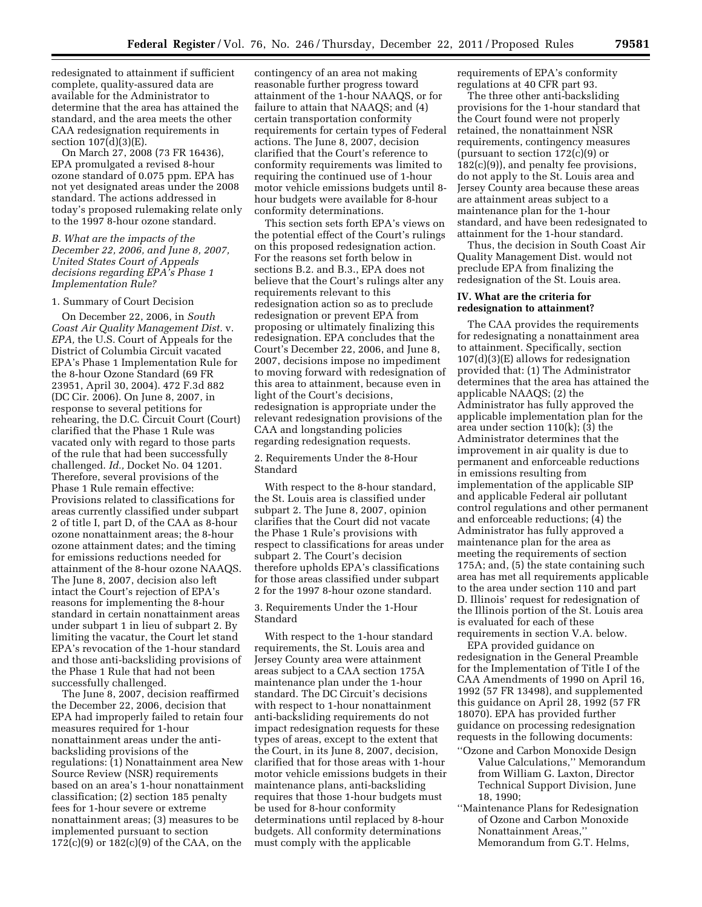redesignated to attainment if sufficient complete, quality-assured data are available for the Administrator to determine that the area has attained the standard, and the area meets the other CAA redesignation requirements in section 107(d)(3)(E).

On March 27, 2008 (73 FR 16436), EPA promulgated a revised 8-hour ozone standard of 0.075 ppm. EPA has not yet designated areas under the 2008 standard. The actions addressed in today's proposed rulemaking relate only to the 1997 8-hour ozone standard.

# *B. What are the impacts of the December 22, 2006, and June 8, 2007, United States Court of Appeals decisions regarding EPA's Phase 1 Implementation Rule?*

#### 1. Summary of Court Decision

On December 22, 2006, in *South Coast Air Quality Management Dist.* v. *EPA,* the U.S. Court of Appeals for the District of Columbia Circuit vacated EPA's Phase 1 Implementation Rule for the 8-hour Ozone Standard (69 FR 23951, April 30, 2004). 472 F.3d 882 (DC Cir. 2006). On June 8, 2007, in response to several petitions for rehearing, the D.C. Circuit Court (Court) clarified that the Phase 1 Rule was vacated only with regard to those parts of the rule that had been successfully challenged. *Id.,* Docket No. 04 1201. Therefore, several provisions of the Phase 1 Rule remain effective: Provisions related to classifications for areas currently classified under subpart 2 of title I, part D, of the CAA as 8-hour ozone nonattainment areas; the 8-hour ozone attainment dates; and the timing for emissions reductions needed for attainment of the 8-hour ozone NAAQS. The June 8, 2007, decision also left intact the Court's rejection of EPA's reasons for implementing the 8-hour standard in certain nonattainment areas under subpart 1 in lieu of subpart 2. By limiting the vacatur, the Court let stand EPA's revocation of the 1-hour standard and those anti-backsliding provisions of the Phase 1 Rule that had not been successfully challenged.

The June 8, 2007, decision reaffirmed the December 22, 2006, decision that EPA had improperly failed to retain four measures required for 1-hour nonattainment areas under the antibacksliding provisions of the regulations: (1) Nonattainment area New Source Review (NSR) requirements based on an area's 1-hour nonattainment classification; (2) section 185 penalty fees for 1-hour severe or extreme nonattainment areas; (3) measures to be implemented pursuant to section 172(c)(9) or 182(c)(9) of the CAA, on the

contingency of an area not making reasonable further progress toward attainment of the 1-hour NAAQS, or for failure to attain that NAAQS; and (4) certain transportation conformity requirements for certain types of Federal actions. The June 8, 2007, decision clarified that the Court's reference to conformity requirements was limited to requiring the continued use of 1-hour motor vehicle emissions budgets until 8 hour budgets were available for 8-hour conformity determinations.

This section sets forth EPA's views on the potential effect of the Court's rulings on this proposed redesignation action. For the reasons set forth below in sections B.2. and B.3., EPA does not believe that the Court's rulings alter any requirements relevant to this redesignation action so as to preclude redesignation or prevent EPA from proposing or ultimately finalizing this redesignation. EPA concludes that the Court's December 22, 2006, and June 8, 2007, decisions impose no impediment to moving forward with redesignation of this area to attainment, because even in light of the Court's decisions, redesignation is appropriate under the relevant redesignation provisions of the CAA and longstanding policies regarding redesignation requests.

2. Requirements Under the 8-Hour Standard

With respect to the 8-hour standard, the St. Louis area is classified under subpart 2. The June 8, 2007, opinion clarifies that the Court did not vacate the Phase 1 Rule's provisions with respect to classifications for areas under subpart 2. The Court's decision therefore upholds EPA's classifications for those areas classified under subpart 2 for the 1997 8-hour ozone standard.

3. Requirements Under the 1-Hour Standard

With respect to the 1-hour standard requirements, the St. Louis area and Jersey County area were attainment areas subject to a CAA section 175A maintenance plan under the 1-hour standard. The DC Circuit's decisions with respect to 1-hour nonattainment anti-backsliding requirements do not impact redesignation requests for these types of areas, except to the extent that the Court, in its June 8, 2007, decision, clarified that for those areas with 1-hour motor vehicle emissions budgets in their maintenance plans, anti-backsliding requires that those 1-hour budgets must be used for 8-hour conformity determinations until replaced by 8-hour budgets. All conformity determinations must comply with the applicable

requirements of EPA's conformity regulations at 40 CFR part 93.

The three other anti-backsliding provisions for the 1-hour standard that the Court found were not properly retained, the nonattainment NSR requirements, contingency measures (pursuant to section  $172(c)(9)$  or 182(c)(9)), and penalty fee provisions, do not apply to the St. Louis area and Jersey County area because these areas are attainment areas subject to a maintenance plan for the 1-hour standard, and have been redesignated to attainment for the 1-hour standard.

Thus, the decision in South Coast Air Quality Management Dist. would not preclude EPA from finalizing the redesignation of the St. Louis area.

# **IV. What are the criteria for redesignation to attainment?**

The CAA provides the requirements for redesignating a nonattainment area to attainment. Specifically, section 107(d)(3)(E) allows for redesignation provided that: (1) The Administrator determines that the area has attained the applicable NAAQS; (2) the Administrator has fully approved the applicable implementation plan for the area under section 110(k); (3) the Administrator determines that the improvement in air quality is due to permanent and enforceable reductions in emissions resulting from implementation of the applicable SIP and applicable Federal air pollutant control regulations and other permanent and enforceable reductions; (4) the Administrator has fully approved a maintenance plan for the area as meeting the requirements of section 175A; and, (5) the state containing such area has met all requirements applicable to the area under section 110 and part D. Illinois' request for redesignation of the Illinois portion of the St. Louis area is evaluated for each of these requirements in section V.A. below.

EPA provided guidance on redesignation in the General Preamble for the Implementation of Title I of the CAA Amendments of 1990 on April 16, 1992 (57 FR 13498), and supplemented this guidance on April 28, 1992 (57 FR 18070). EPA has provided further guidance on processing redesignation requests in the following documents:

- ''Ozone and Carbon Monoxide Design Value Calculations,'' Memorandum from William G. Laxton, Director Technical Support Division, June 18, 1990;
- ''Maintenance Plans for Redesignation of Ozone and Carbon Monoxide Nonattainment Areas,'' Memorandum from G.T. Helms,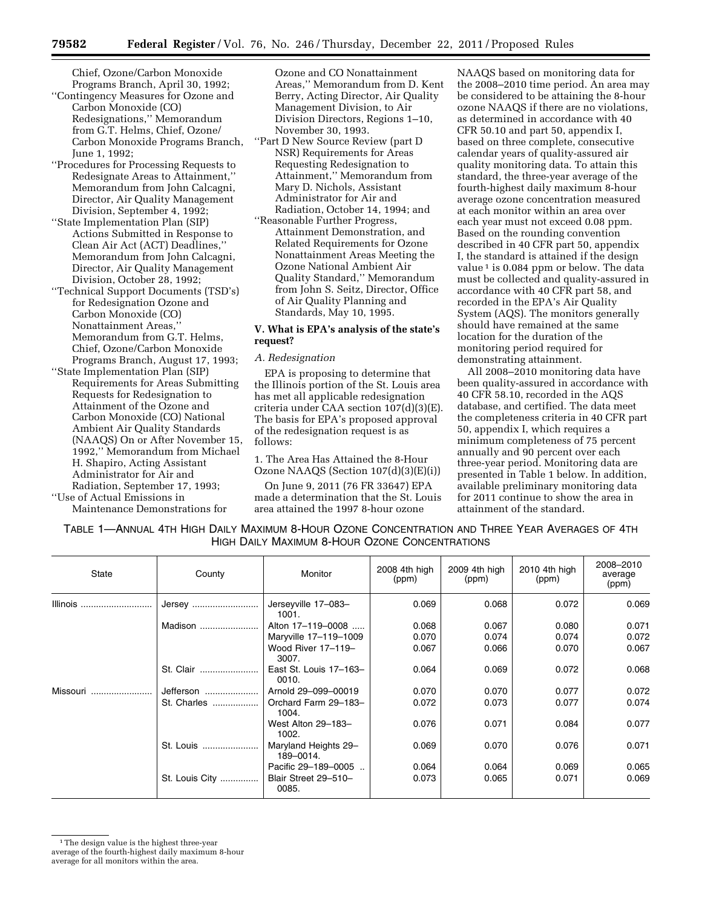Chief, Ozone/Carbon Monoxide Programs Branch, April 30, 1992;

- ''Contingency Measures for Ozone and Carbon Monoxide (CO) Redesignations,'' Memorandum from G.T. Helms, Chief, Ozone/ Carbon Monoxide Programs Branch, June 1, 1992;
- ''Procedures for Processing Requests to Redesignate Areas to Attainment,'' Memorandum from John Calcagni, Director, Air Quality Management Division, September 4, 1992;
- ''State Implementation Plan (SIP) Actions Submitted in Response to Clean Air Act (ACT) Deadlines,'' Memorandum from John Calcagni, Director, Air Quality Management Division, October 28, 1992;
- ''Technical Support Documents (TSD's) for Redesignation Ozone and Carbon Monoxide (CO) Nonattainment Areas, Memorandum from G.T. Helms, Chief, Ozone/Carbon Monoxide Programs Branch, August 17, 1993;
- ''State Implementation Plan (SIP) Requirements for Areas Submitting Requests for Redesignation to Attainment of the Ozone and Carbon Monoxide (CO) National Ambient Air Quality Standards (NAAQS) On or After November 15, 1992,'' Memorandum from Michael H. Shapiro, Acting Assistant Administrator for Air and Radiation, September 17, 1993; ''Use of Actual Emissions in

Maintenance Demonstrations for

Ozone and CO Nonattainment Areas,'' Memorandum from D. Kent Berry, Acting Director, Air Quality Management Division, to Air Division Directors, Regions 1–10, November 30, 1993.

- ''Part D New Source Review (part D NSR) Requirements for Areas Requesting Redesignation to Attainment,'' Memorandum from Mary D. Nichols, Assistant Administrator for Air and Radiation, October 14, 1994; and
- ''Reasonable Further Progress, Attainment Demonstration, and Related Requirements for Ozone Nonattainment Areas Meeting the Ozone National Ambient Air Quality Standard,'' Memorandum from John S. Seitz, Director, Office of Air Quality Planning and Standards, May 10, 1995.

# **V. What is EPA's analysis of the state's request?**

### *A. Redesignation*

EPA is proposing to determine that the Illinois portion of the St. Louis area has met all applicable redesignation criteria under CAA section 107(d)(3)(E). The basis for EPA's proposed approval of the redesignation request is as follows:

1. The Area Has Attained the 8-Hour Ozone NAAQS (Section 107(d)(3)(E)(i))

On June 9, 2011 (76 FR 33647) EPA made a determination that the St. Louis area attained the 1997 8-hour ozone

NAAQS based on monitoring data for the 2008–2010 time period. An area may be considered to be attaining the 8-hour ozone NAAQS if there are no violations, as determined in accordance with 40 CFR 50.10 and part 50, appendix I, based on three complete, consecutive calendar years of quality-assured air quality monitoring data. To attain this standard, the three-year average of the fourth-highest daily maximum 8-hour average ozone concentration measured at each monitor within an area over each year must not exceed 0.08 ppm. Based on the rounding convention described in 40 CFR part 50, appendix I, the standard is attained if the design value  $\frac{1}{1}$  is 0.084 ppm or below. The data must be collected and quality-assured in accordance with 40 CFR part 58, and recorded in the EPA's Air Quality System (AQS). The monitors generally should have remained at the same location for the duration of the monitoring period required for demonstrating attainment.

All 2008–2010 monitoring data have been quality-assured in accordance with 40 CFR 58.10, recorded in the AQS database, and certified. The data meet the completeness criteria in 40 CFR part 50, appendix I, which requires a minimum completeness of 75 percent annually and 90 percent over each three-year period. Monitoring data are presented in Table 1 below. In addition, available preliminary monitoring data for 2011 continue to show the area in attainment of the standard.

TABLE 1—ANNUAL 4TH HIGH DAILY MAXIMUM 8-HOUR OZONE CONCENTRATION AND THREE YEAR AVERAGES OF 4TH HIGH DAILY MAXIMUM 8-HOUR OZONE CONCENTRATIONS

| State    | County         | Monitor                           | 2008 4th high<br>(ppm) | 2009 4th high<br>(ppm) | 2010 4th high<br>(ppm) | 2008-2010<br>average<br>(ppm) |
|----------|----------------|-----------------------------------|------------------------|------------------------|------------------------|-------------------------------|
| Illinois | Jersey         | Jerseyville 17-083-<br>1001.      | 0.069                  | 0.068                  | 0.072                  | 0.069                         |
|          | Madison        | Alton 17-119-0008                 | 0.068                  | 0.067                  | 0.080                  | 0.071                         |
|          |                | Maryville 17-119-1009             | 0.070                  | 0.074                  | 0.074                  | 0.072                         |
|          |                | Wood River 17-119-<br>3007.       | 0.067                  | 0.066                  | 0.070                  | 0.067                         |
|          | St. Clair      | East St. Louis 17-163-<br>0010.   | 0.064                  | 0.069                  | 0.072                  | 0.068                         |
| Missouri | Jefferson      | Arnold 29-099-00019               | 0.070                  | 0.070                  | 0.077                  | 0.072                         |
|          | St. Charles    | Orchard Farm 29-183-<br>1004.     | 0.072                  | 0.073                  | 0.077                  | 0.074                         |
|          |                | West Alton 29-183-<br>1002.       | 0.076                  | 0.071                  | 0.084                  | 0.077                         |
|          | St. Louis      | Maryland Heights 29-<br>189-0014. | 0.069                  | 0.070                  | 0.076                  | 0.071                         |
|          |                | Pacific 29-189-0005               | 0.064                  | 0.064                  | 0.069                  | 0.065                         |
|          | St. Louis City | Blair Street 29-510-<br>0085.     | 0.073                  | 0.065                  | 0.071                  | 0.069                         |

<sup>&</sup>lt;sup>1</sup>The design value is the highest three-year average of the fourth-highest daily maximum 8-hour average for all monitors within the area.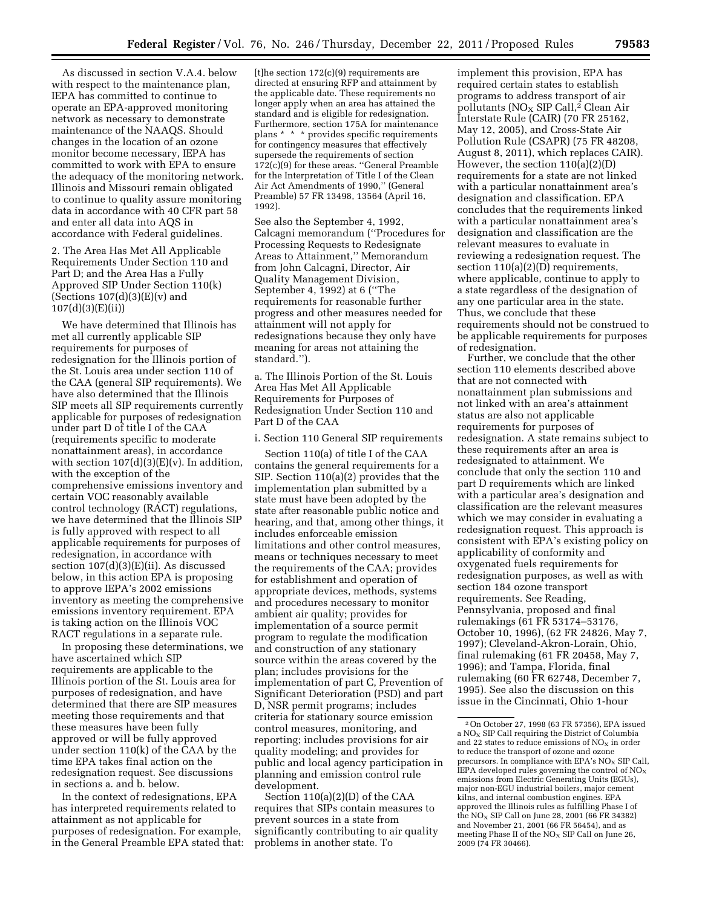As discussed in section V.A.4. below with respect to the maintenance plan, IEPA has committed to continue to operate an EPA-approved monitoring network as necessary to demonstrate maintenance of the NAAQS. Should changes in the location of an ozone monitor become necessary, IEPA has committed to work with EPA to ensure the adequacy of the monitoring network. Illinois and Missouri remain obligated to continue to quality assure monitoring data in accordance with 40 CFR part 58 and enter all data into AQS in accordance with Federal guidelines.

2. The Area Has Met All Applicable Requirements Under Section 110 and Part D; and the Area Has a Fully Approved SIP Under Section 110(k) (Sections  $107(d)(3)(E)(v)$  and 107(d)(3)(E)(ii))

We have determined that Illinois has met all currently applicable SIP requirements for purposes of redesignation for the Illinois portion of the St. Louis area under section 110 of the CAA (general SIP requirements). We have also determined that the Illinois SIP meets all SIP requirements currently applicable for purposes of redesignation under part D of title I of the CAA (requirements specific to moderate nonattainment areas), in accordance with section  $107(d)(3)(E)(v)$ . In addition, with the exception of the comprehensive emissions inventory and certain VOC reasonably available control technology (RACT) regulations, we have determined that the Illinois SIP is fully approved with respect to all applicable requirements for purposes of redesignation, in accordance with section 107(d)(3)(E)(ii). As discussed below, in this action EPA is proposing to approve IEPA's 2002 emissions inventory as meeting the comprehensive emissions inventory requirement. EPA is taking action on the Illinois VOC RACT regulations in a separate rule.

In proposing these determinations, we have ascertained which SIP requirements are applicable to the Illinois portion of the St. Louis area for purposes of redesignation, and have determined that there are SIP measures meeting those requirements and that these measures have been fully approved or will be fully approved under section 110(k) of the CAA by the time EPA takes final action on the redesignation request. See discussions in sections a. and b. below.

In the context of redesignations, EPA has interpreted requirements related to attainment as not applicable for purposes of redesignation. For example, in the General Preamble EPA stated that:  $[t]$ he section 172 $(c)(9)$  requirements are directed at ensuring RFP and attainment by the applicable date. These requirements no longer apply when an area has attained the standard and is eligible for redesignation. Furthermore, section 175A for maintenance plans \* \* \* provides specific requirements for contingency measures that effectively supersede the requirements of section 172(c)(9) for these areas. ''General Preamble for the Interpretation of Title I of the Clean Air Act Amendments of 1990,'' (General Preamble) 57 FR 13498, 13564 (April 16, 1992).

See also the September 4, 1992, Calcagni memorandum (''Procedures for Processing Requests to Redesignate Areas to Attainment,'' Memorandum from John Calcagni, Director, Air Quality Management Division, September 4, 1992) at 6 (''The requirements for reasonable further progress and other measures needed for attainment will not apply for redesignations because they only have meaning for areas not attaining the standard.'').

a. The Illinois Portion of the St. Louis Area Has Met All Applicable Requirements for Purposes of Redesignation Under Section 110 and Part D of the CAA

i. Section 110 General SIP requirements

Section 110(a) of title I of the CAA contains the general requirements for a SIP. Section 110(a)(2) provides that the implementation plan submitted by a state must have been adopted by the state after reasonable public notice and hearing, and that, among other things, it includes enforceable emission limitations and other control measures, means or techniques necessary to meet the requirements of the CAA; provides for establishment and operation of appropriate devices, methods, systems and procedures necessary to monitor ambient air quality; provides for implementation of a source permit program to regulate the modification and construction of any stationary source within the areas covered by the plan; includes provisions for the implementation of part C, Prevention of Significant Deterioration (PSD) and part D, NSR permit programs; includes criteria for stationary source emission control measures, monitoring, and reporting; includes provisions for air quality modeling; and provides for public and local agency participation in planning and emission control rule development.

Section 110(a)(2)(D) of the CAA requires that SIPs contain measures to prevent sources in a state from significantly contributing to air quality problems in another state. To

implement this provision, EPA has required certain states to establish programs to address transport of air pollutants (NO<sub>X</sub> SIP Call,<sup>2</sup> Clean Air Interstate Rule (CAIR) (70 FR 25162, May 12, 2005), and Cross-State Air Pollution Rule (CSAPR) (75 FR 48208, August 8, 2011), which replaces CAIR). However, the section 110(a)(2)(D) requirements for a state are not linked with a particular nonattainment area's designation and classification. EPA concludes that the requirements linked with a particular nonattainment area's designation and classification are the relevant measures to evaluate in reviewing a redesignation request. The section  $110(a)(2)(D)$  requirements, where applicable, continue to apply to a state regardless of the designation of any one particular area in the state. Thus, we conclude that these requirements should not be construed to be applicable requirements for purposes of redesignation.

Further, we conclude that the other section 110 elements described above that are not connected with nonattainment plan submissions and not linked with an area's attainment status are also not applicable requirements for purposes of redesignation. A state remains subject to these requirements after an area is redesignated to attainment. We conclude that only the section 110 and part D requirements which are linked with a particular area's designation and classification are the relevant measures which we may consider in evaluating a redesignation request. This approach is consistent with EPA's existing policy on applicability of conformity and oxygenated fuels requirements for redesignation purposes, as well as with section 184 ozone transport requirements. See Reading, Pennsylvania, proposed and final rulemakings (61 FR 53174–53176, October 10, 1996), (62 FR 24826, May 7, 1997); Cleveland-Akron-Lorain, Ohio, final rulemaking (61 FR 20458, May 7, 1996); and Tampa, Florida, final rulemaking (60 FR 62748, December 7, 1995). See also the discussion on this issue in the Cincinnati, Ohio 1-hour

<sup>2</sup>On October 27, 1998 (63 FR 57356), EPA issued a  $NO<sub>x</sub>$  SIP Call requiring the District of Columbia and 22 states to reduce emissions of  $NO<sub>x</sub>$  in order to reduce the transport of ozone and ozone precursors. In compliance with EPA's  $\rm NO_{X}$  SIP Call, IEPA developed rules governing the control of  $NO<sub>x</sub>$ emissions from Electric Generating Units (EGUs), major non-EGU industrial boilers, major cement kilns, and internal combustion engines. EPA approved the Illinois rules as fulfilling Phase I of the  $NO<sub>x</sub>$  SIP Call on June 28, 2001 (66 FR 34382) and November 21, 2001 (66 FR 56454), and as meeting Phase II of the  $NO<sub>x</sub>$  SIP Call on June 26, 2009 (74 FR 30466).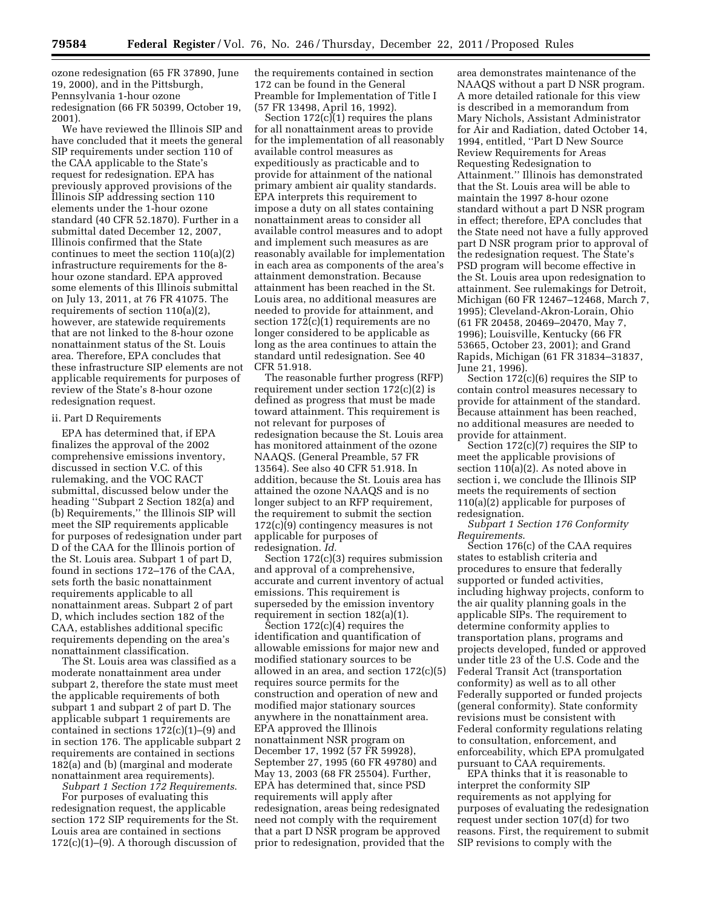ozone redesignation (65 FR 37890, June 19, 2000), and in the Pittsburgh, Pennsylvania 1-hour ozone redesignation (66 FR 50399, October 19, 2001).

We have reviewed the Illinois SIP and have concluded that it meets the general SIP requirements under section 110 of the CAA applicable to the State's request for redesignation. EPA has previously approved provisions of the Illinois SIP addressing section 110 elements under the 1-hour ozone standard (40 CFR 52.1870). Further in a submittal dated December 12, 2007, Illinois confirmed that the State continues to meet the section 110(a)(2) infrastructure requirements for the 8 hour ozone standard. EPA approved some elements of this Illinois submittal on July 13, 2011, at 76 FR 41075. The requirements of section 110(a)(2), however, are statewide requirements that are not linked to the 8-hour ozone nonattainment status of the St. Louis area. Therefore, EPA concludes that these infrastructure SIP elements are not applicable requirements for purposes of review of the State's 8-hour ozone redesignation request.

#### ii. Part D Requirements

EPA has determined that, if EPA finalizes the approval of the 2002 comprehensive emissions inventory, discussed in section V.C. of this rulemaking, and the VOC RACT submittal, discussed below under the heading ''Subpart 2 Section 182(a) and (b) Requirements,'' the Illinois SIP will meet the SIP requirements applicable for purposes of redesignation under part D of the CAA for the Illinois portion of the St. Louis area. Subpart 1 of part D, found in sections 172–176 of the CAA, sets forth the basic nonattainment requirements applicable to all nonattainment areas. Subpart 2 of part D, which includes section 182 of the CAA, establishes additional specific requirements depending on the area's nonattainment classification.

The St. Louis area was classified as a moderate nonattainment area under subpart 2, therefore the state must meet the applicable requirements of both subpart 1 and subpart 2 of part D. The applicable subpart 1 requirements are contained in sections 172(c)(1)–(9) and in section 176. The applicable subpart 2 requirements are contained in sections 182(a) and (b) (marginal and moderate nonattainment area requirements).

*Subpart 1 Section 172 Requirements*. For purposes of evaluating this redesignation request, the applicable section 172 SIP requirements for the St. Louis area are contained in sections  $172(c)(1)–(9)$ . A thorough discussion of

the requirements contained in section 172 can be found in the General Preamble for Implementation of Title I (57 FR 13498, April 16, 1992).

Section  $172(c)(1)$  requires the plans for all nonattainment areas to provide for the implementation of all reasonably available control measures as expeditiously as practicable and to provide for attainment of the national primary ambient air quality standards. EPA interprets this requirement to impose a duty on all states containing nonattainment areas to consider all available control measures and to adopt and implement such measures as are reasonably available for implementation in each area as components of the area's attainment demonstration. Because attainment has been reached in the St. Louis area, no additional measures are needed to provide for attainment, and section 172(c)(1) requirements are no longer considered to be applicable as long as the area continues to attain the standard until redesignation. See 40 CFR 51.918.

The reasonable further progress (RFP) requirement under section 172(c)(2) is defined as progress that must be made toward attainment. This requirement is not relevant for purposes of redesignation because the St. Louis area has monitored attainment of the ozone NAAQS. (General Preamble, 57 FR 13564). See also 40 CFR 51.918. In addition, because the St. Louis area has attained the ozone NAAQS and is no longer subject to an RFP requirement, the requirement to submit the section 172(c)(9) contingency measures is not applicable for purposes of redesignation. *Id.* 

Section 172(c)(3) requires submission and approval of a comprehensive, accurate and current inventory of actual emissions. This requirement is superseded by the emission inventory requirement in section 182(a)(1).

Section  $172(c)(4)$  requires the identification and quantification of allowable emissions for major new and modified stationary sources to be allowed in an area, and section 172(c)(5) requires source permits for the construction and operation of new and modified major stationary sources anywhere in the nonattainment area. EPA approved the Illinois nonattainment NSR program on December 17, 1992 (57 FR 59928), September 27, 1995 (60 FR 49780) and May 13, 2003 (68 FR 25504). Further, EPA has determined that, since PSD requirements will apply after redesignation, areas being redesignated need not comply with the requirement that a part D NSR program be approved prior to redesignation, provided that the

area demonstrates maintenance of the NAAQS without a part D NSR program. A more detailed rationale for this view is described in a memorandum from Mary Nichols, Assistant Administrator for Air and Radiation, dated October 14, 1994, entitled, ''Part D New Source Review Requirements for Areas Requesting Redesignation to Attainment.'' Illinois has demonstrated that the St. Louis area will be able to maintain the 1997 8-hour ozone standard without a part D NSR program in effect; therefore, EPA concludes that the State need not have a fully approved part D NSR program prior to approval of the redesignation request. The State's PSD program will become effective in the St. Louis area upon redesignation to attainment. See rulemakings for Detroit, Michigan (60 FR 12467–12468, March 7, 1995); Cleveland-Akron-Lorain, Ohio (61 FR 20458, 20469–20470, May 7, 1996); Louisville, Kentucky (66 FR 53665, October 23, 2001); and Grand Rapids, Michigan (61 FR 31834–31837, June 21, 1996).

Section 172(c)(6) requires the SIP to contain control measures necessary to provide for attainment of the standard. Because attainment has been reached, no additional measures are needed to provide for attainment.

Section 172(c)(7) requires the SIP to meet the applicable provisions of section 110(a)(2). As noted above in section i, we conclude the Illinois SIP meets the requirements of section 110(a)(2) applicable for purposes of redesignation.

*Subpart 1 Section 176 Conformity Requirements*.

Section 176(c) of the CAA requires states to establish criteria and procedures to ensure that federally supported or funded activities, including highway projects, conform to the air quality planning goals in the applicable SIPs. The requirement to determine conformity applies to transportation plans, programs and projects developed, funded or approved under title 23 of the U.S. Code and the Federal Transit Act (transportation conformity) as well as to all other Federally supported or funded projects (general conformity). State conformity revisions must be consistent with Federal conformity regulations relating to consultation, enforcement, and enforceability, which EPA promulgated pursuant to CAA requirements.

EPA thinks that it is reasonable to interpret the conformity SIP requirements as not applying for purposes of evaluating the redesignation request under section 107(d) for two reasons. First, the requirement to submit SIP revisions to comply with the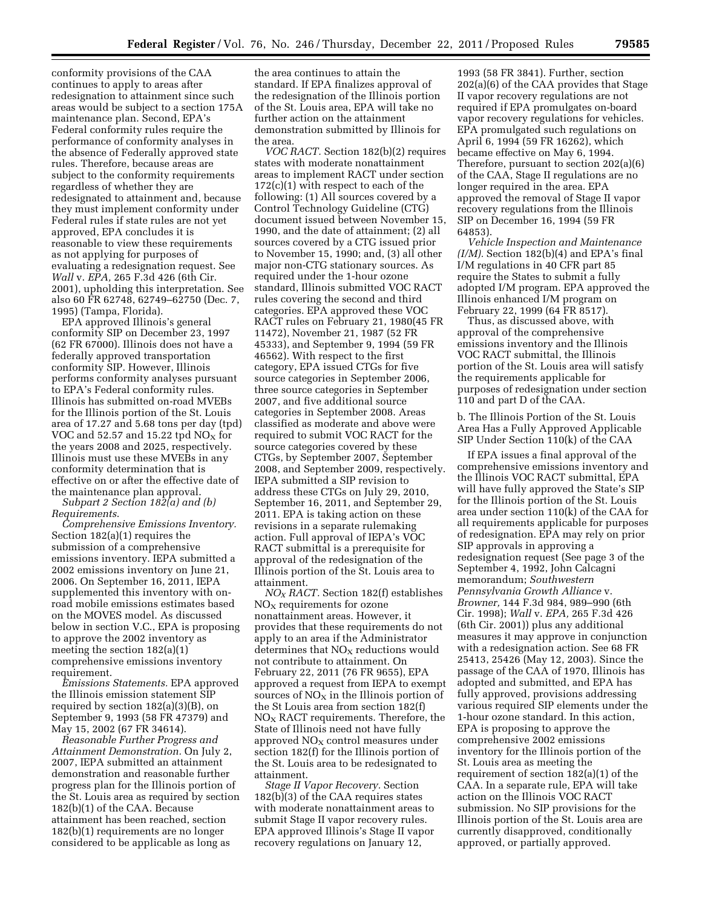conformity provisions of the CAA continues to apply to areas after redesignation to attainment since such areas would be subject to a section 175A maintenance plan. Second, EPA's Federal conformity rules require the performance of conformity analyses in the absence of Federally approved state rules. Therefore, because areas are subject to the conformity requirements regardless of whether they are redesignated to attainment and, because they must implement conformity under Federal rules if state rules are not yet approved, EPA concludes it is reasonable to view these requirements as not applying for purposes of evaluating a redesignation request. See *Wall* v. *EPA,* 265 F.3d 426 (6th Cir. 2001), upholding this interpretation. See also 60 FR 62748, 62749–62750 (Dec. 7, 1995) (Tampa, Florida).

EPA approved Illinois's general conformity SIP on December 23, 1997 (62 FR 67000). Illinois does not have a federally approved transportation conformity SIP. However, Illinois performs conformity analyses pursuant to EPA's Federal conformity rules. Illinois has submitted on-road MVEBs for the Illinois portion of the St. Louis area of 17.27 and 5.68 tons per day (tpd) VOC and 52.57 and 15.22 tpd  $NO<sub>X</sub>$  for the years 2008 and 2025, respectively. Illinois must use these MVEBs in any conformity determination that is effective on or after the effective date of the maintenance plan approval.

*Subpart 2 Section 182(a) and (b) Requirements*.

*Comprehensive Emissions Inventory.*  Section 182(a)(1) requires the submission of a comprehensive emissions inventory. IEPA submitted a 2002 emissions inventory on June 21, 2006. On September 16, 2011, IEPA supplemented this inventory with onroad mobile emissions estimates based on the MOVES model. As discussed below in section V.C., EPA is proposing to approve the 2002 inventory as meeting the section 182(a)(1) comprehensive emissions inventory requirement.

*Emissions Statements.* EPA approved the Illinois emission statement SIP required by section 182(a)(3)(B), on September 9, 1993 (58 FR 47379) and May 15, 2002 (67 FR 34614).

*Reasonable Further Progress and Attainment Demonstration.* On July 2, 2007, IEPA submitted an attainment demonstration and reasonable further progress plan for the Illinois portion of the St. Louis area as required by section 182(b)(1) of the CAA. Because attainment has been reached, section 182(b)(1) requirements are no longer considered to be applicable as long as

the area continues to attain the standard. If EPA finalizes approval of the redesignation of the Illinois portion of the St. Louis area, EPA will take no further action on the attainment demonstration submitted by Illinois for the area.

*VOC RACT.* Section 182(b)(2) requires states with moderate nonattainment areas to implement RACT under section 172(c)(1) with respect to each of the following: (1) All sources covered by a Control Technology Guideline (CTG) document issued between November 15, 1990, and the date of attainment; (2) all sources covered by a CTG issued prior to November 15, 1990; and, (3) all other major non-CTG stationary sources. As required under the 1-hour ozone standard, Illinois submitted VOC RACT rules covering the second and third categories. EPA approved these VOC RACT rules on February 21, 1980(45 FR 11472), November 21, 1987 (52 FR 45333), and September 9, 1994 (59 FR 46562). With respect to the first category, EPA issued CTGs for five source categories in September 2006, three source categories in September 2007, and five additional source categories in September 2008. Areas classified as moderate and above were required to submit VOC RACT for the source categories covered by these CTGs, by September 2007, September 2008, and September 2009, respectively. IEPA submitted a SIP revision to address these CTGs on July 29, 2010, September 16, 2011, and September 29, 2011. EPA is taking action on these revisions in a separate rulemaking action. Full approval of IEPA's VOC RACT submittal is a prerequisite for approval of the redesignation of the Illinois portion of the St. Louis area to attainment.

*NOX RACT.* Section 182(f) establishes  $NO<sub>x</sub>$  requirements for ozone nonattainment areas. However, it provides that these requirements do not apply to an area if the Administrator determines that  $NO<sub>X</sub>$  reductions would not contribute to attainment. On February 22, 2011 (76 FR 9655), EPA approved a request from IEPA to exempt sources of  $NO<sub>X</sub>$  in the Illinois portion of the St Louis area from section 182(f)  $NO<sub>x</sub> RACT requirements. Therefore, the$ State of Illinois need not have fully approved  $NO<sub>x</sub>$  control measures under section 182(f) for the Illinois portion of the St. Louis area to be redesignated to attainment.

*Stage II Vapor Recovery.* Section 182(b)(3) of the CAA requires states with moderate nonattainment areas to submit Stage II vapor recovery rules. EPA approved Illinois's Stage II vapor recovery regulations on January 12,

1993 (58 FR 3841). Further, section 202(a)(6) of the CAA provides that Stage II vapor recovery regulations are not required if EPA promulgates on-board vapor recovery regulations for vehicles. EPA promulgated such regulations on April 6, 1994 (59 FR 16262), which became effective on May 6, 1994. Therefore, pursuant to section 202(a)(6) of the CAA, Stage II regulations are no longer required in the area. EPA approved the removal of Stage II vapor recovery regulations from the Illinois SIP on December 16, 1994 (59 FR 64853).

*Vehicle Inspection and Maintenance*   $(I/M)$ . Section 182(b)(4) and EPA's final I/M regulations in 40 CFR part 85 require the States to submit a fully adopted I/M program. EPA approved the Illinois enhanced I/M program on February 22, 1999 (64 FR 8517).

Thus, as discussed above, with approval of the comprehensive emissions inventory and the Illinois VOC RACT submittal, the Illinois portion of the St. Louis area will satisfy the requirements applicable for purposes of redesignation under section 110 and part D of the CAA.

b. The Illinois Portion of the St. Louis Area Has a Fully Approved Applicable SIP Under Section 110(k) of the CAA

If EPA issues a final approval of the comprehensive emissions inventory and the Illinois VOC RACT submittal, EPA will have fully approved the State's SIP for the Illinois portion of the St. Louis area under section 110(k) of the CAA for all requirements applicable for purposes of redesignation. EPA may rely on prior SIP approvals in approving a redesignation request (See page 3 of the September 4, 1992, John Calcagni memorandum; *Southwestern Pennsylvania Growth Alliance* v. *Browner,* 144 F.3d 984, 989–990 (6th Cir. 1998); *Wall* v. *EPA,* 265 F.3d 426 (6th Cir. 2001)) plus any additional measures it may approve in conjunction with a redesignation action. See 68 FR 25413, 25426 (May 12, 2003). Since the passage of the CAA of 1970, Illinois has adopted and submitted, and EPA has fully approved, provisions addressing various required SIP elements under the 1-hour ozone standard. In this action, EPA is proposing to approve the comprehensive 2002 emissions inventory for the Illinois portion of the St. Louis area as meeting the requirement of section 182(a)(1) of the CAA. In a separate rule, EPA will take action on the Illinois VOC RACT submission. No SIP provisions for the Illinois portion of the St. Louis area are currently disapproved, conditionally approved, or partially approved.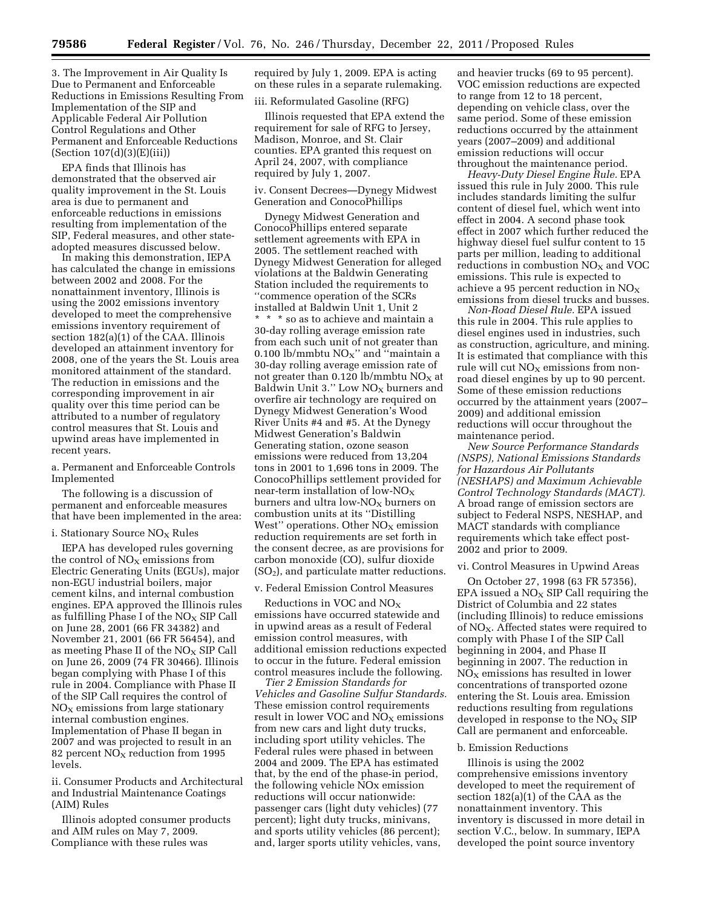3. The Improvement in Air Quality Is Due to Permanent and Enforceable Reductions in Emissions Resulting From Implementation of the SIP and Applicable Federal Air Pollution Control Regulations and Other Permanent and Enforceable Reductions (Section 107(d)(3)(E)(iii))

EPA finds that Illinois has demonstrated that the observed air quality improvement in the St. Louis area is due to permanent and enforceable reductions in emissions resulting from implementation of the SIP, Federal measures, and other stateadopted measures discussed below.

In making this demonstration, IEPA has calculated the change in emissions between 2002 and 2008. For the nonattainment inventory, Illinois is using the 2002 emissions inventory developed to meet the comprehensive emissions inventory requirement of section 182(a)(1) of the CAA. Illinois developed an attainment inventory for 2008, one of the years the St. Louis area monitored attainment of the standard. The reduction in emissions and the corresponding improvement in air quality over this time period can be attributed to a number of regulatory control measures that St. Louis and upwind areas have implemented in recent years.

#### a. Permanent and Enforceable Controls Implemented

The following is a discussion of permanent and enforceable measures that have been implemented in the area:

#### i. Stationary Source  $NO<sub>x</sub>$  Rules

IEPA has developed rules governing the control of  $NO<sub>x</sub>$  emissions from Electric Generating Units (EGUs), major non-EGU industrial boilers, major cement kilns, and internal combustion engines. EPA approved the Illinois rules as fulfilling Phase I of the  $NO<sub>X</sub>$  SIP Call on June 28, 2001 (66 FR 34382) and November 21, 2001 (66 FR 56454), and as meeting Phase II of the  $NO<sub>x</sub>$  SIP Call on June 26, 2009 (74 FR 30466). Illinois began complying with Phase I of this rule in 2004. Compliance with Phase II of the SIP Call requires the control of  $NO<sub>x</sub>$  emissions from large stationary internal combustion engines. Implementation of Phase II began in 2007 and was projected to result in an 82 percent NO<sub>X</sub> reduction from 1995 levels.

ii. Consumer Products and Architectural and Industrial Maintenance Coatings (AIM) Rules

Illinois adopted consumer products and AIM rules on May 7, 2009. Compliance with these rules was

required by July 1, 2009. EPA is acting on these rules in a separate rulemaking.

## iii. Reformulated Gasoline (RFG)

Illinois requested that EPA extend the requirement for sale of RFG to Jersey, Madison, Monroe, and St. Clair counties. EPA granted this request on April 24, 2007, with compliance required by July 1, 2007.

# iv. Consent Decrees—Dynegy Midwest Generation and ConocoPhillips

Dynegy Midwest Generation and ConocoPhillips entered separate settlement agreements with EPA in 2005. The settlement reached with Dynegy Midwest Generation for alleged violations at the Baldwin Generating Station included the requirements to ''commence operation of the SCRs installed at Baldwin Unit 1, Unit 2 \* \* \* so as to achieve and maintain a 30-day rolling average emission rate from each such unit of not greater than 0.100 lb/mmbtu  $NO<sub>X</sub>$ " and "maintain a 30-day rolling average emission rate of not greater than  $0.120$  lb/mmbtu NO<sub>X</sub> at Baldwin Unit 3." Low  $NO<sub>X</sub>$  burners and overfire air technology are required on Dynegy Midwest Generation's Wood River Units #4 and #5. At the Dynegy Midwest Generation's Baldwin Generating station, ozone season emissions were reduced from 13,204 tons in 2001 to 1,696 tons in 2009. The ConocoPhillips settlement provided for near-term installation of low- $NO_X$ burners and ultra low- $NO<sub>x</sub>$  burners on combustion units at its ''Distilling West" operations. Other  $NO<sub>X</sub>$  emission reduction requirements are set forth in the consent decree, as are provisions for carbon monoxide (CO), sulfur dioxide  $(SO<sub>2</sub>)$ , and particulate matter reductions.

#### v. Federal Emission Control Measures

Reductions in VOC and NOX emissions have occurred statewide and in upwind areas as a result of Federal emission control measures, with additional emission reductions expected to occur in the future. Federal emission control measures include the following.

*Tier 2 Emission Standards for Vehicles and Gasoline Sulfur Standards.*  These emission control requirements result in lower VOC and  $NO<sub>X</sub>$  emissions from new cars and light duty trucks, including sport utility vehicles. The Federal rules were phased in between 2004 and 2009. The EPA has estimated that, by the end of the phase-in period, the following vehicle NOx emission reductions will occur nationwide: passenger cars (light duty vehicles) (77 percent); light duty trucks, minivans, and sports utility vehicles (86 percent); and, larger sports utility vehicles, vans,

and heavier trucks (69 to 95 percent). VOC emission reductions are expected to range from 12 to 18 percent, depending on vehicle class, over the same period. Some of these emission reductions occurred by the attainment years (2007–2009) and additional emission reductions will occur throughout the maintenance period.

*Heavy-Duty Diesel Engine Rule.* EPA issued this rule in July 2000. This rule includes standards limiting the sulfur content of diesel fuel, which went into effect in 2004. A second phase took effect in 2007 which further reduced the highway diesel fuel sulfur content to 15 parts per million, leading to additional reductions in combustion  $NO<sub>X</sub>$  and  $VOC$ emissions. This rule is expected to achieve a 95 percent reduction in  $NO<sub>X</sub>$ emissions from diesel trucks and busses.

*Non-Road Diesel Rule.* EPA issued this rule in 2004. This rule applies to diesel engines used in industries, such as construction, agriculture, and mining. It is estimated that compliance with this rule will cut  $NO<sub>x</sub>$  emissions from nonroad diesel engines by up to 90 percent. Some of these emission reductions occurred by the attainment years (2007– 2009) and additional emission reductions will occur throughout the maintenance period.

*New Source Performance Standards (NSPS), National Emissions Standards for Hazardous Air Pollutants (NESHAPS) and Maximum Achievable Control Technology Standards (MACT).*  A broad range of emission sectors are subject to Federal NSPS, NESHAP, and MACT standards with compliance requirements which take effect post-2002 and prior to 2009.

#### vi. Control Measures in Upwind Areas

On October 27, 1998 (63 FR 57356), EPA issued a  $NO<sub>X</sub>$  SIP Call requiring the District of Columbia and 22 states (including Illinois) to reduce emissions of  $NO<sub>X</sub>$ . Affected states were required to comply with Phase I of the SIP Call beginning in 2004, and Phase II beginning in 2007. The reduction in  $NO<sub>x</sub>$  emissions has resulted in lower concentrations of transported ozone entering the St. Louis area. Emission reductions resulting from regulations developed in response to the  $NO<sub>x</sub>$  SIP Call are permanent and enforceable.

#### b. Emission Reductions

Illinois is using the 2002 comprehensive emissions inventory developed to meet the requirement of section 182(a)(1) of the CAA as the nonattainment inventory. This inventory is discussed in more detail in section V.C., below. In summary, IEPA developed the point source inventory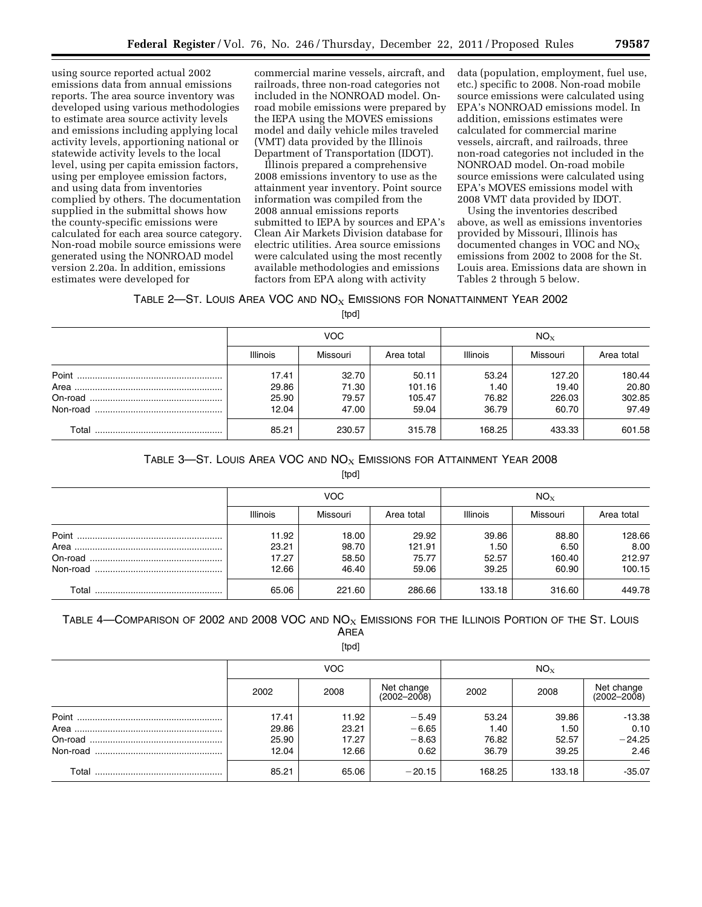using source reported actual 2002 emissions data from annual emissions reports. The area source inventory was developed using various methodologies to estimate area source activity levels and emissions including applying local activity levels, apportioning national or statewide activity levels to the local level, using per capita emission factors, using per employee emission factors, and using data from inventories complied by others. The documentation supplied in the submittal shows how the county-specific emissions were calculated for each area source category. Non-road mobile source emissions were generated using the NONROAD model version 2.20a. In addition, emissions estimates were developed for

commercial marine vessels, aircraft, and railroads, three non-road categories not included in the NONROAD model. Onroad mobile emissions were prepared by the IEPA using the MOVES emissions model and daily vehicle miles traveled (VMT) data provided by the Illinois Department of Transportation (IDOT).

Illinois prepared a comprehensive 2008 emissions inventory to use as the attainment year inventory. Point source information was compiled from the 2008 annual emissions reports submitted to IEPA by sources and EPA's Clean Air Markets Division database for electric utilities. Area source emissions were calculated using the most recently available methodologies and emissions factors from EPA along with activity

data (population, employment, fuel use, etc.) specific to 2008. Non-road mobile source emissions were calculated using EPA's NONROAD emissions model. In addition, emissions estimates were calculated for commercial marine vessels, aircraft, and railroads, three non-road categories not included in the NONROAD model. On-road mobile source emissions were calculated using EPA's MOVES emissions model with 2008 VMT data provided by IDOT.

Using the inventories described above, as well as emissions inventories provided by Missouri, Illinois has  $d$ ocumented changes in VOC and  $NO_X$ emissions from 2002 to 2008 for the St. Louis area. Emissions data are shown in Tables 2 through 5 below.

# TABLE  $2$ —St. Louis Area VOC and  $NO<sub>X</sub>$  Emissions for Nonattainment Year 2002

[tpd]

|       |                 | VOC.     |            | $NO_{X}$        |          |            |  |
|-------|-----------------|----------|------------|-----------------|----------|------------|--|
|       | <b>Illinois</b> | Missouri | Area total | <b>Illinois</b> | Missouri | Area total |  |
|       | 17.41           | 32.70    | 50.11      | 53.24           | 127.20   | 180.44     |  |
|       | 29.86           | 71.30    | 101.16     | 1.40            | 19.40    | 20.80      |  |
|       | 25.90           | 79.57    | 105.47     | 76.82           | 226.03   | 302.85     |  |
|       | 12.04           | 47.00    | 59.04      | 36.79           | 60.70    | 97.49      |  |
| Total | 85.21           | 230.57   | 315.78     | 168.25          | 433.33   | 601.58     |  |

# TABLE 3-ST. LOUIS AREA VOC AND  $N_{\text{OX}}$  EMISSIONS FOR ATTAINMENT YEAR 2008

[tpd]

|       |                 | VOC.     |            | $NO_{X}$        |          |            |  |
|-------|-----------------|----------|------------|-----------------|----------|------------|--|
|       | <b>Illinois</b> | Missouri | Area total | <b>Illinois</b> | Missouri | Area total |  |
|       | 11.92           | 18.00    | 29.92      | 39.86           | 88.80    | 128.66     |  |
|       | 23.21           | 98.70    | 121.91     | 1.50            | 6.50     | 8.00       |  |
|       | 17.27           | 58.50    | 75.77      | 52.57           | 160.40   | 212.97     |  |
|       | 12.66           | 46.40    | 59.06      | 39.25           | 60.90    | 100.15     |  |
| Total | 65.06           | 221.60   | 286.66     | 133.18          | 316.60   | 449.78     |  |

# TABLE 4—COMPARISON OF 2002 AND 2008 VOC AND  $NOS$  EMISSIONS FOR THE ILLINOIS PORTION OF THE ST. LOUIS AREA

[tpd]

|       |       | <b>VOC</b> |                               | $NO_{X}$ |        |                               |  |
|-------|-------|------------|-------------------------------|----------|--------|-------------------------------|--|
|       | 2002  | 2008       | Net change<br>$(2002 - 2008)$ | 2002     | 2008   | Net change<br>$(2002 - 2008)$ |  |
|       | 17.41 | 11.92      | $-5.49$                       | 53.24    | 39.86  | $-13.38$                      |  |
|       | 29.86 | 23.21      | $-6.65$                       | 1.40     | 1.50   | 0.10                          |  |
|       | 25.90 | 17.27      | $-8.63$                       | 76.82    | 52.57  | $-24.25$                      |  |
|       | 12.04 | 12.66      | 0.62                          | 36.79    | 39.25  | 2.46                          |  |
| Total | 85.21 | 65.06      | $-20.15$                      | 168.25   | 133.18 | $-35.07$                      |  |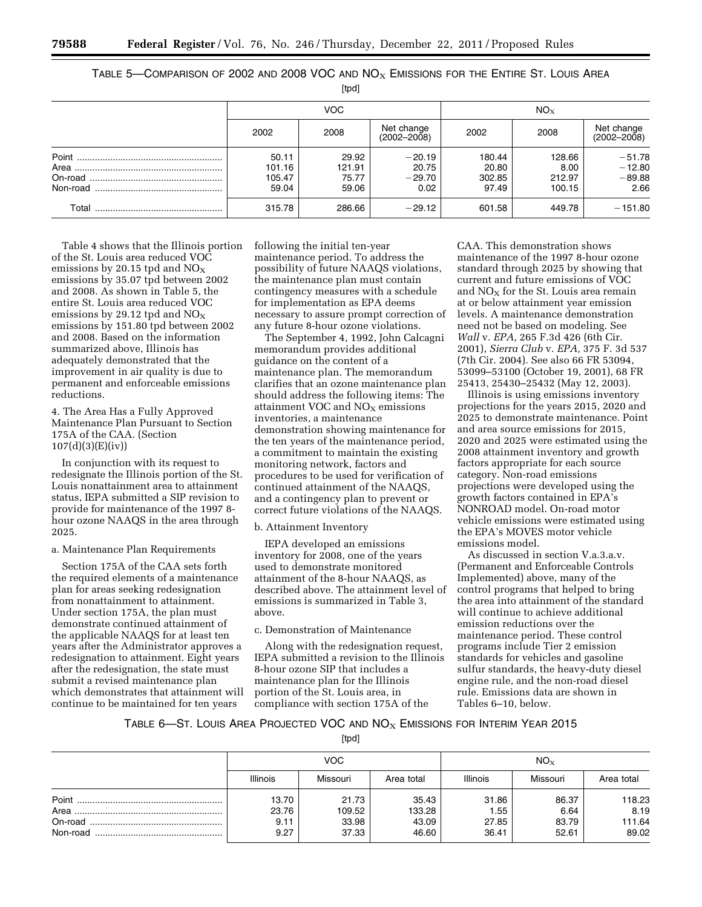TABLE 5—COMPARISON OF 2002 AND 2008 VOC AND  $NOS$  EMISSIONS FOR THE ENTIRE ST. LOUIS AREA

[tpd]

|          |                                    | VOC.                              |                                       | $NO_{X}$                           |                                    |                                          |  |
|----------|------------------------------------|-----------------------------------|---------------------------------------|------------------------------------|------------------------------------|------------------------------------------|--|
|          | 2002                               | 2008                              | Net change<br>$(2002 - 2008)$         | 2002                               | 2008                               | Net change<br>$(2002 - 2008)$            |  |
| Non-road | 50.11<br>101.16<br>105.47<br>59.04 | 29.92<br>121.91<br>75.77<br>59.06 | $-20.19$<br>20.75<br>$-29.70$<br>0.02 | 180.44<br>20.80<br>302.85<br>97.49 | 128.66<br>8.00<br>212.97<br>100.15 | $-51.78$<br>$-12.80$<br>$-89.88$<br>2.66 |  |
| Total    | 315.78                             | 286.66                            | $-29.12$                              | 601.58                             | 449.78                             | $-151.80$                                |  |

Table 4 shows that the Illinois portion of the St. Louis area reduced VOC emissions by 20.15 tpd and  $NO<sub>X</sub>$ emissions by 35.07 tpd between 2002 and 2008. As shown in Table 5, the entire St. Louis area reduced VOC emissions by 29.12 tpd and  $NO<sub>x</sub>$ emissions by 151.80 tpd between 2002 and 2008. Based on the information summarized above, Illinois has adequately demonstrated that the improvement in air quality is due to permanent and enforceable emissions reductions.

4. The Area Has a Fully Approved Maintenance Plan Pursuant to Section 175A of the CAA. (Section 107(d)(3)(E)(iv))

In conjunction with its request to redesignate the Illinois portion of the St. Louis nonattainment area to attainment status, IEPA submitted a SIP revision to provide for maintenance of the 1997 8 hour ozone NAAQS in the area through 2025.

#### a. Maintenance Plan Requirements

Section 175A of the CAA sets forth the required elements of a maintenance plan for areas seeking redesignation from nonattainment to attainment. Under section 175A, the plan must demonstrate continued attainment of the applicable NAAQS for at least ten years after the Administrator approves a redesignation to attainment. Eight years after the redesignation, the state must submit a revised maintenance plan which demonstrates that attainment will continue to be maintained for ten years

following the initial ten-year maintenance period. To address the possibility of future NAAQS violations, the maintenance plan must contain contingency measures with a schedule for implementation as EPA deems necessary to assure prompt correction of any future 8-hour ozone violations.

The September 4, 1992, John Calcagni memorandum provides additional guidance on the content of a maintenance plan. The memorandum clarifies that an ozone maintenance plan should address the following items: The attainment VOC and  $NO<sub>X</sub>$  emissions inventories, a maintenance demonstration showing maintenance for the ten years of the maintenance period, a commitment to maintain the existing monitoring network, factors and procedures to be used for verification of continued attainment of the NAAQS, and a contingency plan to prevent or correct future violations of the NAAQS.

# b. Attainment Inventory

IEPA developed an emissions inventory for 2008, one of the years used to demonstrate monitored attainment of the 8-hour NAAQS, as described above. The attainment level of emissions is summarized in Table 3, above.

# c. Demonstration of Maintenance

Along with the redesignation request, IEPA submitted a revision to the Illinois 8-hour ozone SIP that includes a maintenance plan for the Illinois portion of the St. Louis area, in compliance with section 175A of the

CAA. This demonstration shows maintenance of the 1997 8-hour ozone standard through 2025 by showing that current and future emissions of VOC and  $NO<sub>X</sub>$  for the St. Louis area remain at or below attainment year emission levels. A maintenance demonstration need not be based on modeling. See *Wall* v. *EPA,* 265 F.3d 426 (6th Cir. 2001), *Sierra Club* v. *EPA,* 375 F. 3d 537 (7th Cir. 2004). See also 66 FR 53094, 53099–53100 (October 19, 2001), 68 FR 25413, 25430–25432 (May 12, 2003).

Illinois is using emissions inventory projections for the years 2015, 2020 and 2025 to demonstrate maintenance. Point and area source emissions for 2015, 2020 and 2025 were estimated using the 2008 attainment inventory and growth factors appropriate for each source category. Non-road emissions projections were developed using the growth factors contained in EPA's NONROAD model. On-road motor vehicle emissions were estimated using the EPA's MOVES motor vehicle emissions model.

As discussed in section V.a.3.a.v. (Permanent and Enforceable Controls Implemented) above, many of the control programs that helped to bring the area into attainment of the standard will continue to achieve additional emission reductions over the maintenance period. These control programs include Tier 2 emission standards for vehicles and gasoline sulfur standards, the heavy-duty diesel engine rule, and the non-road diesel rule. Emissions data are shown in Tables 6–10, below.

# TABLE 6-ST. LOUIS AREA PROJECTED VOC AND  $NOS$  EMISSIONS FOR INTERIM YEAR 2015

[tpd]

|          |                 | VOC.     |            | $NO_{X}$        |          |            |  |
|----------|-----------------|----------|------------|-----------------|----------|------------|--|
|          | <b>Illinois</b> | Missouri | Area total | <b>Illinois</b> | Missouri | Area total |  |
|          | 13.70           | 21.73    | 35.43      | 31.86           | 86.37    | 118.23     |  |
|          | 23.76           | 109.52   | 133.28     | 1.55            | 6.64     | 8.19       |  |
|          | 9.11            | 33.98    | 43.09      | 27.85           | 83.79    | 111.64     |  |
| Non-road | 9.27            | 37.33    | 46.60      | 36.41           | 52.61    | 89.02      |  |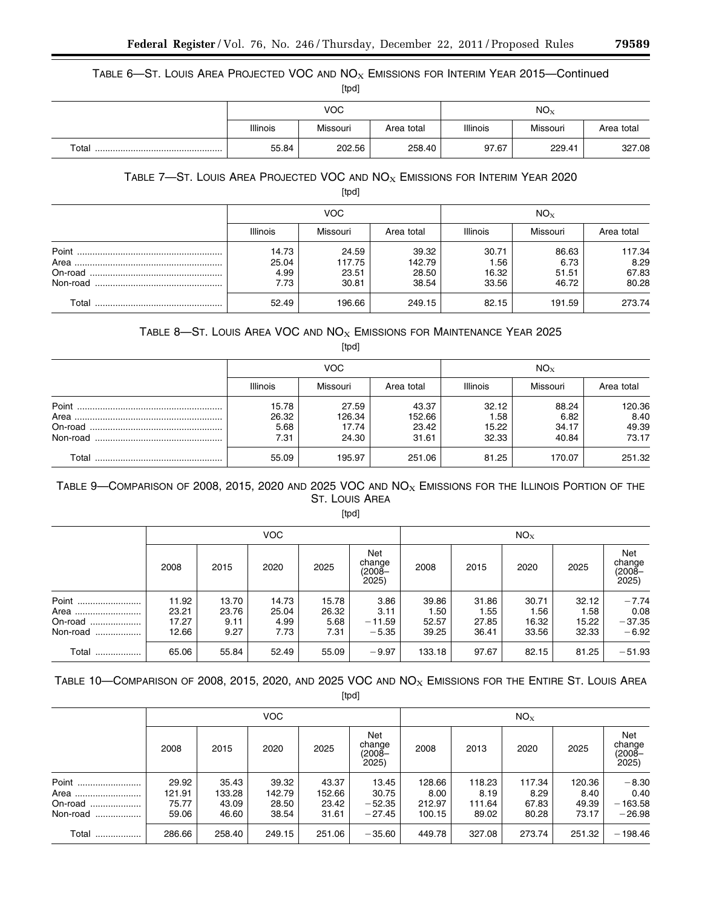TABLE 6-ST. LOUIS AREA PROJECTED VOC AND  $NO<sub>X</sub>$  EMISSIONS FOR INTERIM YEAR 2015-Continued

|       |                 | <b>VOC</b> |            | NO <sub>X</sub> |          |            |  |
|-------|-----------------|------------|------------|-----------------|----------|------------|--|
|       | <b>Illinois</b> | Missouri   | Area total | <b>Illinois</b> | Missouri | Area total |  |
| Total | 55.84           | 202.56     | 258.40     | 97.67           | 229.41   | 327.08     |  |

# TABLE  $7$ —ST. LOUIS AREA PROJECTED VOC AND  $NO<sub>X</sub>$  EMISSIONS FOR INTERIM YEAR 2020

[tpd]

|       |                                | VOC.                              |                                   | $NO_{X}$                        |                                 |                                  |  |
|-------|--------------------------------|-----------------------------------|-----------------------------------|---------------------------------|---------------------------------|----------------------------------|--|
|       | <b>Illinois</b>                | Missouri                          | Area total                        | <b>Illinois</b>                 | Missouri                        | Area total                       |  |
| Point | 14.73<br>25.04<br>4.99<br>7.73 | 24.59<br>117.75<br>23.51<br>30.81 | 39.32<br>142.79<br>28.50<br>38.54 | 30.71<br>1.56<br>16.32<br>33.56 | 86.63<br>6.73<br>51.51<br>46.72 | 117.34<br>8.29<br>67.83<br>80.28 |  |
| Total | 52.49                          | 196.66                            | 249.15                            | 82.15                           | 191.59                          | 273.74                           |  |

# TABLE 8-ST. LOUIS AREA VOC AND  $NO<sub>X</sub>$  EMISSIONS FOR MAINTENANCE YEAR 2025

[tpd]

|       |                                | <b>VOC</b>                        |                                   | $NO_x$                          |                                 |                                  |  |
|-------|--------------------------------|-----------------------------------|-----------------------------------|---------------------------------|---------------------------------|----------------------------------|--|
|       | <b>Illinois</b>                | Missouri                          | Area total                        | <b>Illinois</b>                 | Missouri                        | Area total                       |  |
| Point | 15.78<br>26.32<br>5.68<br>7.31 | 27.59<br>126.34<br>17.74<br>24.30 | 43.37<br>152.66<br>23.42<br>31.61 | 32.12<br>1.58<br>15.22<br>32.33 | 88.24<br>6.82<br>34.17<br>40.84 | 120.36<br>8.40<br>49.39<br>73.17 |  |
| Total | 55.09                          | 195.97                            | 251.06                            | 81.25                           | 170.07                          | 251.32                           |  |

# TABLE 9-COMPARISON OF 2008, 2015, 2020 AND 2025 VOC AND  $NO<sub>X</sub>$  EMISSIONS FOR THE ILLINOIS PORTION OF THE ST. LOUIS AREA

[tpd]

|              | <b>VOC</b> |       |       |       |                                  | $NO_{X}$ |       |       |       |                                  |
|--------------|------------|-------|-------|-------|----------------------------------|----------|-------|-------|-------|----------------------------------|
|              | 2008       | 2015  | 2020  | 2025  | Net<br>change<br>(2008–<br>2025) | 2008     | 2015  | 2020  | 2025  | Net<br>change<br>(2008–<br>2025) |
| Point        | 11.92      | 13.70 | 14.73 | 15.78 | 3.86                             | 39.86    | 31.86 | 30.71 | 32.12 | $-7.74$                          |
| Area         | 23.21      | 23.76 | 25.04 | 26.32 | 3.11                             | 1.50     | 1.55  | 1.56  | 1.58  | 0.08                             |
| On-road      | 17.27      | 9.11  | 4.99  | 5.68  | $-11.59$                         | 52.57    | 27.85 | 16.32 | 15.22 | $-37.35$                         |
| Non-road<br> | 12.66      | 9.27  | 7.73  | 7.31  | $-5.35$                          | 39.25    | 36.41 | 33.56 | 32.33 | $-6.92$                          |
| Total        | 65.06      | 55.84 | 52.49 | 55.09 | $-9.97$                          | 133.18   | 97.67 | 82.15 | 81.25 | $-51.93$                         |

TABLE 10-COMPARISON OF 2008, 2015, 2020, AND 2025 VOC AND  $NO<sub>X</sub>$  EMISSIONS FOR THE ENTIRE ST. LOUIS AREA

[tpd]

|                                      | VOC.                              |                                   |                                   |                                   |                                        |                                    | $NO_{X}$                          |                                  |                                  |                                          |  |
|--------------------------------------|-----------------------------------|-----------------------------------|-----------------------------------|-----------------------------------|----------------------------------------|------------------------------------|-----------------------------------|----------------------------------|----------------------------------|------------------------------------------|--|
|                                      | 2008                              | 2015                              | 2020                              | 2025                              | Net<br>change<br>(2008–<br>2025)       | 2008                               | 2013                              | 2020                             | 2025                             | Net<br>change<br>$(2008 -$<br>2025)      |  |
| Point<br>Area<br>On-road<br>Non-road | 29.92<br>121.91<br>75.77<br>59.06 | 35.43<br>133.28<br>43.09<br>46.60 | 39.32<br>142.79<br>28.50<br>38.54 | 43.37<br>152.66<br>23.42<br>31.61 | 13.45<br>30.75<br>$-52.35$<br>$-27.45$ | 128.66<br>8.00<br>212.97<br>100.15 | 118.23<br>8.19<br>111.64<br>89.02 | 117.34<br>8.29<br>67.83<br>80.28 | 120.36<br>8.40<br>49.39<br>73.17 | $-8.30$<br>0.40<br>$-163.58$<br>$-26.98$ |  |
| Total<br>                            | 286.66                            | 258.40                            | 249.15                            | 251.06                            | $-35.60$                               | 449.78                             | 327.08                            | 273.74                           | 251.32                           | $-198.46$                                |  |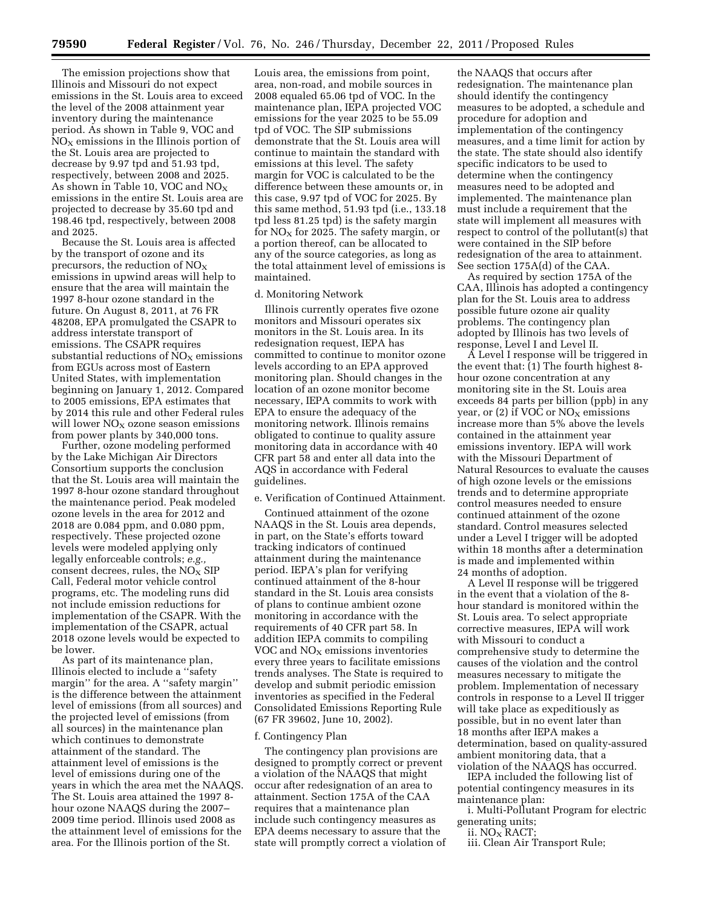The emission projections show that Illinois and Missouri do not expect emissions in the St. Louis area to exceed the level of the 2008 attainment year inventory during the maintenance period. As shown in Table 9, VOC and  $NO<sub>X</sub>$  emissions in the Illinois portion of the St. Louis area are projected to decrease by 9.97 tpd and 51.93 tpd, respectively, between 2008 and 2025. As shown in Table 10, VOC and  $NO<sub>X</sub>$ emissions in the entire St. Louis area are projected to decrease by 35.60 tpd and 198.46 tpd, respectively, between 2008 and 2025.

Because the St. Louis area is affected by the transport of ozone and its precursors, the reduction of  $NO<sub>X</sub>$ emissions in upwind areas will help to ensure that the area will maintain the 1997 8-hour ozone standard in the future. On August 8, 2011, at 76 FR 48208, EPA promulgated the CSAPR to address interstate transport of emissions. The CSAPR requires substantial reductions of  $NO<sub>x</sub>$  emissions from EGUs across most of Eastern United States, with implementation beginning on January 1, 2012. Compared to 2005 emissions, EPA estimates that by 2014 this rule and other Federal rules will lower  $NO<sub>x</sub>$  ozone season emissions from power plants by 340,000 tons.

Further, ozone modeling performed by the Lake Michigan Air Directors Consortium supports the conclusion that the St. Louis area will maintain the 1997 8-hour ozone standard throughout the maintenance period. Peak modeled ozone levels in the area for 2012 and 2018 are 0.084 ppm, and 0.080 ppm, respectively. These projected ozone levels were modeled applying only legally enforceable controls; *e.g.,*  consent decrees, rules, the NO<sub>X</sub> SIP Call, Federal motor vehicle control programs, etc. The modeling runs did not include emission reductions for implementation of the CSAPR. With the implementation of the CSAPR, actual 2018 ozone levels would be expected to be lower.

As part of its maintenance plan, Illinois elected to include a ''safety margin'' for the area. A ''safety margin'' is the difference between the attainment level of emissions (from all sources) and the projected level of emissions (from all sources) in the maintenance plan which continues to demonstrate attainment of the standard. The attainment level of emissions is the level of emissions during one of the years in which the area met the NAAQS. The St. Louis area attained the 1997 8 hour ozone NAAQS during the 2007– 2009 time period. Illinois used 2008 as the attainment level of emissions for the area. For the Illinois portion of the St.

Louis area, the emissions from point, area, non-road, and mobile sources in 2008 equaled 65.06 tpd of VOC. In the maintenance plan, IEPA projected VOC emissions for the year 2025 to be 55.09 tpd of VOC. The SIP submissions demonstrate that the St. Louis area will continue to maintain the standard with emissions at this level. The safety margin for VOC is calculated to be the difference between these amounts or, in this case, 9.97 tpd of VOC for 2025. By this same method, 51.93 tpd (i.e., 133.18 tpd less 81.25 tpd) is the safety margin for  $NO<sub>x</sub>$  for 2025. The safety margin, or a portion thereof, can be allocated to any of the source categories, as long as the total attainment level of emissions is maintained.

#### d. Monitoring Network

Illinois currently operates five ozone monitors and Missouri operates six monitors in the St. Louis area. In its redesignation request, IEPA has committed to continue to monitor ozone levels according to an EPA approved monitoring plan. Should changes in the location of an ozone monitor become necessary, IEPA commits to work with EPA to ensure the adequacy of the monitoring network. Illinois remains obligated to continue to quality assure monitoring data in accordance with 40 CFR part 58 and enter all data into the AQS in accordance with Federal guidelines.

# e. Verification of Continued Attainment.

Continued attainment of the ozone NAAQS in the St. Louis area depends, in part, on the State's efforts toward tracking indicators of continued attainment during the maintenance period. IEPA's plan for verifying continued attainment of the 8-hour standard in the St. Louis area consists of plans to continue ambient ozone monitoring in accordance with the requirements of 40 CFR part 58. In addition IEPA commits to compiling VOC and  $NO<sub>x</sub>$  emissions inventories every three years to facilitate emissions trends analyses. The State is required to develop and submit periodic emission inventories as specified in the Federal Consolidated Emissions Reporting Rule (67 FR 39602, June 10, 2002).

#### f. Contingency Plan

The contingency plan provisions are designed to promptly correct or prevent a violation of the NAAQS that might occur after redesignation of an area to attainment. Section 175A of the CAA requires that a maintenance plan include such contingency measures as EPA deems necessary to assure that the state will promptly correct a violation of

the NAAQS that occurs after redesignation. The maintenance plan should identify the contingency measures to be adopted, a schedule and procedure for adoption and implementation of the contingency measures, and a time limit for action by the state. The state should also identify specific indicators to be used to determine when the contingency measures need to be adopted and implemented. The maintenance plan must include a requirement that the state will implement all measures with respect to control of the pollutant(s) that were contained in the SIP before redesignation of the area to attainment. See section 175A(d) of the CAA.

As required by section 175A of the CAA, Illinois has adopted a contingency plan for the St. Louis area to address possible future ozone air quality problems. The contingency plan adopted by Illinois has two levels of response, Level I and Level II.

A Level I response will be triggered in the event that: (1) The fourth highest 8 hour ozone concentration at any monitoring site in the St. Louis area exceeds 84 parts per billion (ppb) in any year, or (2) if VOC or  $NO<sub>x</sub>$  emissions increase more than 5% above the levels contained in the attainment year emissions inventory. IEPA will work with the Missouri Department of Natural Resources to evaluate the causes of high ozone levels or the emissions trends and to determine appropriate control measures needed to ensure continued attainment of the ozone standard. Control measures selected under a Level I trigger will be adopted within 18 months after a determination is made and implemented within 24 months of adoption.

A Level II response will be triggered in the event that a violation of the 8 hour standard is monitored within the St. Louis area. To select appropriate corrective measures, IEPA will work with Missouri to conduct a comprehensive study to determine the causes of the violation and the control measures necessary to mitigate the problem. Implementation of necessary controls in response to a Level II trigger will take place as expeditiously as possible, but in no event later than 18 months after IEPA makes a determination, based on quality-assured ambient monitoring data, that a violation of the NAAQS has occurred.

IEPA included the following list of potential contingency measures in its maintenance plan:

i. Multi-Pollutant Program for electric generating units;

ii. NO<sub>X</sub> RACT;

iii. Clean Air Transport Rule;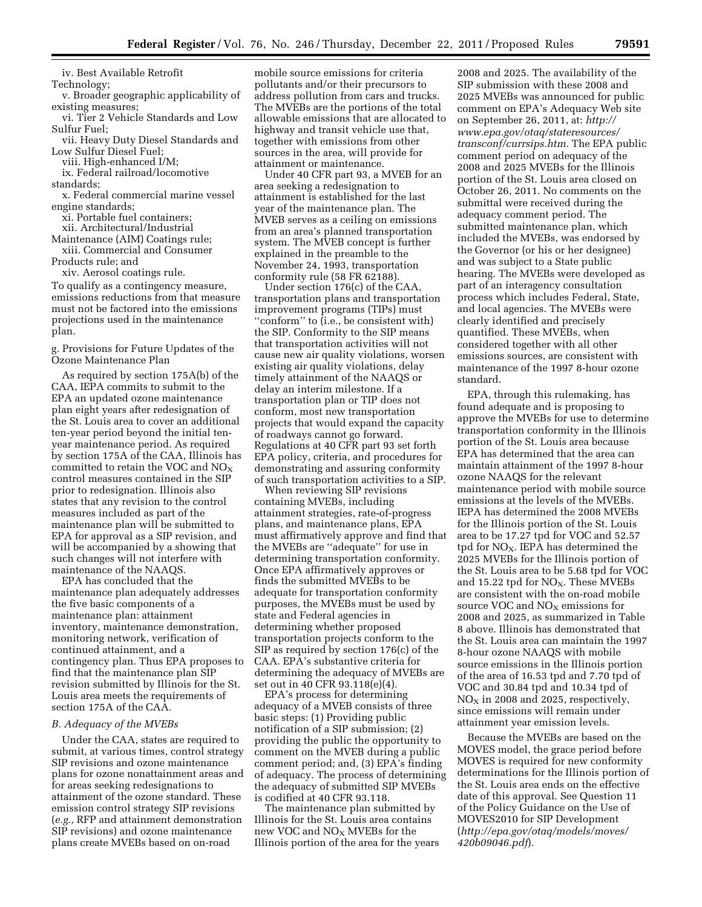iv. Best Available Retrofit

Technology; v. Broader geographic applicability of existing measures;

vi. Tier 2 Vehicle Standards and Low Sulfur Fuel;

vii. Heavy Duty Diesel Standards and Low Sulfur Diesel Fuel;

viii. High-enhanced I/M;

ix. Federal railroad/locomotive standards;

x. Federal commercial marine vessel engine standards;

xi. Portable fuel containers;

xii. Architectural/Industrial

Maintenance (AIM) Coatings rule; xiii. Commercial and Consumer

Products rule; and

xiv. Aerosol coatings rule.

To qualify as a contingency measure, emissions reductions from that measure must not be factored into the emissions projections used in the maintenance plan.

g. Provisions for Future Updates of the Ozone Maintenance Plan

As required by section 175A(b) of the CAA, IEPA commits to submit to the EPA an updated ozone maintenance plan eight years after redesignation of the St. Louis area to cover an additional ten-year period beyond the initial tenyear maintenance period. As required by section 175A of the CAA, Illinois has committed to retain the VOC and  $NO<sub>X</sub>$ control measures contained in the SIP prior to redesignation. Illinois also states that any revision to the control measures included as part of the maintenance plan will be submitted to EPA for approval as a SIP revision, and will be accompanied by a showing that such changes will not interfere with maintenance of the NAAQS.

EPA has concluded that the maintenance plan adequately addresses the five basic components of a maintenance plan: attainment inventory, maintenance demonstration, monitoring network, verification of continued attainment, and a contingency plan. Thus EPA proposes to find that the maintenance plan SIP revision submitted by Illinois for the St. Louis area meets the requirements of section 175A of the CAA.

#### *B. Adequacy of the MVEBs*

Under the CAA, states are required to submit, at various times, control strategy SIP revisions and ozone maintenance plans for ozone nonattainment areas and for areas seeking redesignations to attainment of the ozone standard. These emission control strategy SIP revisions (*e.g.,* RFP and attainment demonstration SIP revisions) and ozone maintenance plans create MVEBs based on on-road

mobile source emissions for criteria pollutants and/or their precursors to address pollution from cars and trucks. The MVEBs are the portions of the total allowable emissions that are allocated to highway and transit vehicle use that, together with emissions from other sources in the area, will provide for attainment or maintenance.

Under 40 CFR part 93, a MVEB for an area seeking a redesignation to attainment is established for the last year of the maintenance plan. The MVEB serves as a ceiling on emissions from an area's planned transportation system. The MVEB concept is further explained in the preamble to the November 24, 1993, transportation conformity rule (58 FR 62188).

Under section 176(c) of the CAA, transportation plans and transportation improvement programs (TIPs) must ''conform'' to (i.e., be consistent with) the SIP. Conformity to the SIP means that transportation activities will not cause new air quality violations, worsen existing air quality violations, delay timely attainment of the NAAQS or delay an interim milestone. If a transportation plan or TIP does not conform, most new transportation projects that would expand the capacity of roadways cannot go forward. Regulations at 40 CFR part 93 set forth EPA policy, criteria, and procedures for demonstrating and assuring conformity of such transportation activities to a SIP.

When reviewing SIP revisions containing MVEBs, including attainment strategies, rate-of-progress plans, and maintenance plans, EPA must affirmatively approve and find that the MVEBs are ''adequate'' for use in determining transportation conformity. Once EPA affirmatively approves or finds the submitted MVEBs to be adequate for transportation conformity purposes, the MVEBs must be used by state and Federal agencies in determining whether proposed transportation projects conform to the SIP as required by section 176(c) of the CAA. EPA's substantive criteria for determining the adequacy of MVEBs are set out in 40 CFR 93.118(e)(4).

EPA's process for determining adequacy of a MVEB consists of three basic steps: (1) Providing public notification of a SIP submission; (2) providing the public the opportunity to comment on the MVEB during a public comment period; and, (3) EPA's finding of adequacy. The process of determining the adequacy of submitted SIP MVEBs is codified at 40 CFR 93.118.

The maintenance plan submitted by Illinois for the St. Louis area contains new VOC and  $NO<sub>x</sub>$  MVEBs for the Illinois portion of the area for the years

2008 and 2025. The availability of the SIP submission with these 2008 and 2025 MVEBs was announced for public comment on EPA's Adequacy Web site on September 26, 2011, at: *[http://](http://www.epa.gov/otaq/stateresources/transconf/currsips.htm) [www.epa.gov/otaq/stateresources/](http://www.epa.gov/otaq/stateresources/transconf/currsips.htm)  [transconf/currsips.htm.](http://www.epa.gov/otaq/stateresources/transconf/currsips.htm)* The EPA public comment period on adequacy of the 2008 and 2025 MVEBs for the Illinois portion of the St. Louis area closed on October 26, 2011. No comments on the submittal were received during the adequacy comment period. The submitted maintenance plan, which included the MVEBs, was endorsed by the Governor (or his or her designee) and was subject to a State public hearing. The MVEBs were developed as part of an interagency consultation process which includes Federal, State, and local agencies. The MVEBs were clearly identified and precisely quantified. These MVEBs, when considered together with all other emissions sources, are consistent with maintenance of the 1997 8-hour ozone standard.

EPA, through this rulemaking, has found adequate and is proposing to approve the MVEBs for use to determine transportation conformity in the Illinois portion of the St. Louis area because EPA has determined that the area can maintain attainment of the 1997 8-hour ozone NAAQS for the relevant maintenance period with mobile source emissions at the levels of the MVEBs. IEPA has determined the 2008 MVEBs for the Illinois portion of the St. Louis area to be 17.27 tpd for VOC and 52.57 tpd for  $NO<sub>X</sub>$ . IEPA has determined the 2025 MVEBs for the Illinois portion of the St. Louis area to be 5.68 tpd for VOC and 15.22 tpd for  $NO<sub>X</sub>$ . These MVEBs are consistent with the on-road mobile source VOC and NO<sub>X</sub> emissions for 2008 and 2025, as summarized in Table 8 above. Illinois has demonstrated that the St. Louis area can maintain the 1997 8-hour ozone NAAQS with mobile source emissions in the Illinois portion of the area of 16.53 tpd and 7.70 tpd of VOC and 30.84 tpd and 10.34 tpd of  $NO<sub>x</sub>$  in 2008 and 2025, respectively, since emissions will remain under attainment year emission levels.

Because the MVEBs are based on the MOVES model, the grace period before MOVES is required for new conformity determinations for the Illinois portion of the St. Louis area ends on the effective date of this approval. See Question 11 of the Policy Guidance on the Use of MOVES2010 for SIP Development (*[http://epa.gov/otaq/models/moves/](http://epa.gov/otaq/models/moves/420b09046.pdf) [420b09046.pdf](http://epa.gov/otaq/models/moves/420b09046.pdf)*).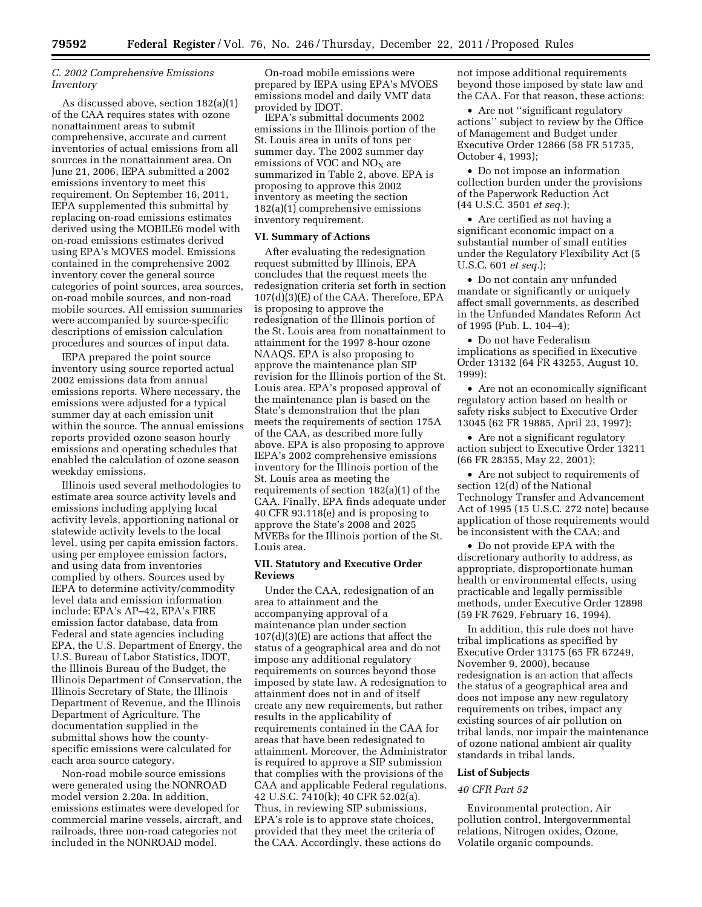# *C. 2002 Comprehensive Emissions Inventory*

As discussed above, section 182(a)(1) of the CAA requires states with ozone nonattainment areas to submit comprehensive, accurate and current inventories of actual emissions from all sources in the nonattainment area. On June 21, 2006, IEPA submitted a 2002 emissions inventory to meet this requirement. On September 16, 2011, IEPA supplemented this submittal by replacing on-road emissions estimates derived using the MOBILE6 model with on-road emissions estimates derived using EPA's MOVES model. Emissions contained in the comprehensive 2002 inventory cover the general source categories of point sources, area sources, on-road mobile sources, and non-road mobile sources. All emission summaries were accompanied by source-specific descriptions of emission calculation procedures and sources of input data.

IEPA prepared the point source inventory using source reported actual 2002 emissions data from annual emissions reports. Where necessary, the emissions were adjusted for a typical summer day at each emission unit within the source. The annual emissions reports provided ozone season hourly emissions and operating schedules that enabled the calculation of ozone season weekday emissions.

Illinois used several methodologies to estimate area source activity levels and emissions including applying local activity levels, apportioning national or statewide activity levels to the local level, using per capita emission factors, using per employee emission factors, and using data from inventories complied by others. Sources used by IEPA to determine activity/commodity level data and emission information include: EPA's AP–42, EPA's FIRE emission factor database, data from Federal and state agencies including EPA, the U.S. Department of Energy, the U.S. Bureau of Labor Statistics, IDOT, the Illinois Bureau of the Budget, the Illinois Department of Conservation, the Illinois Secretary of State, the Illinois Department of Revenue, and the Illinois Department of Agriculture. The documentation supplied in the submittal shows how the countyspecific emissions were calculated for each area source category.

Non-road mobile source emissions were generated using the NONROAD model version 2.20a. In addition, emissions estimates were developed for commercial marine vessels, aircraft, and railroads, three non-road categories not included in the NONROAD model.

On-road mobile emissions were prepared by IEPA using EPA's MVOES emissions model and daily VMT data provided by IDOT.

IEPA's submittal documents 2002 emissions in the Illinois portion of the St. Louis area in units of tons per summer day. The 2002 summer day emissions of VOC and  $NO<sub>x</sub>$  are summarized in Table 2, above. EPA is proposing to approve this 2002 inventory as meeting the section 182(a)(1) comprehensive emissions inventory requirement.

#### **VI. Summary of Actions**

After evaluating the redesignation request submitted by Illinois, EPA concludes that the request meets the redesignation criteria set forth in section 107(d)(3)(E) of the CAA. Therefore, EPA is proposing to approve the redesignation of the Illinois portion of the St. Louis area from nonattainment to attainment for the 1997 8-hour ozone NAAQS. EPA is also proposing to approve the maintenance plan SIP revision for the Illinois portion of the St. Louis area. EPA's proposed approval of the maintenance plan is based on the State's demonstration that the plan meets the requirements of section 175A of the CAA, as described more fully above. EPA is also proposing to approve IEPA's 2002 comprehensive emissions inventory for the Illinois portion of the St. Louis area as meeting the requirements of section 182(a)(1) of the CAA. Finally, EPA finds adequate under 40 CFR 93.118(e) and is proposing to approve the State's 2008 and 2025 MVEBs for the Illinois portion of the St. Louis area.

# **VII. Statutory and Executive Order Reviews**

Under the CAA, redesignation of an area to attainment and the accompanying approval of a maintenance plan under section 107(d)(3)(E) are actions that affect the status of a geographical area and do not impose any additional regulatory requirements on sources beyond those imposed by state law. A redesignation to attainment does not in and of itself create any new requirements, but rather results in the applicability of requirements contained in the CAA for areas that have been redesignated to attainment. Moreover, the Administrator is required to approve a SIP submission that complies with the provisions of the CAA and applicable Federal regulations. 42 U.S.C. 7410(k); 40 CFR 52.02(a). Thus, in reviewing SIP submissions, EPA's role is to approve state choices, provided that they meet the criteria of the CAA. Accordingly, these actions do

not impose additional requirements beyond those imposed by state law and the CAA. For that reason, these actions:

• Are not "significant regulatory actions'' subject to review by the Office of Management and Budget under Executive Order 12866 (58 FR 51735, October 4, 1993);

• Do not impose an information collection burden under the provisions of the Paperwork Reduction Act (44 U.S.C. 3501 *et seq.*);

• Are certified as not having a significant economic impact on a substantial number of small entities under the Regulatory Flexibility Act (5 U.S.C. 601 *et seq.*);

• Do not contain any unfunded mandate or significantly or uniquely affect small governments, as described in the Unfunded Mandates Reform Act of 1995 (Pub. L. 104–4);

• Do not have Federalism implications as specified in Executive Order 13132 (64 FR 43255, August 10, 1999);

• Are not an economically significant regulatory action based on health or safety risks subject to Executive Order 13045 (62 FR 19885, April 23, 1997);

• Are not a significant regulatory action subject to Executive Order 13211 (66 FR 28355, May 22, 2001);

• Are not subject to requirements of section 12(d) of the National Technology Transfer and Advancement Act of 1995 (15 U.S.C. 272 note) because application of those requirements would be inconsistent with the CAA; and

• Do not provide EPA with the discretionary authority to address, as appropriate, disproportionate human health or environmental effects, using practicable and legally permissible methods, under Executive Order 12898 (59 FR 7629, February 16, 1994).

In addition, this rule does not have tribal implications as specified by Executive Order 13175 (65 FR 67249, November 9, 2000), because redesignation is an action that affects the status of a geographical area and does not impose any new regulatory requirements on tribes, impact any existing sources of air pollution on tribal lands, nor impair the maintenance of ozone national ambient air quality standards in tribal lands.

#### **List of Subjects**

#### *40 CFR Part 52*

Environmental protection, Air pollution control, Intergovernmental relations, Nitrogen oxides, Ozone, Volatile organic compounds.